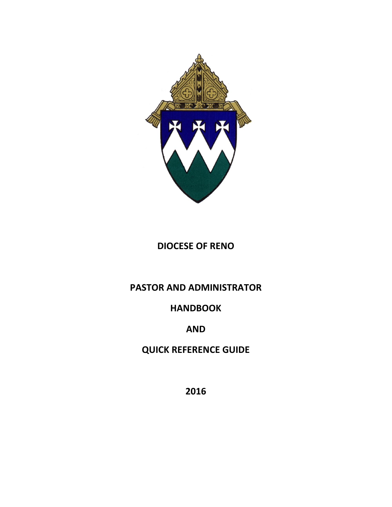

# **DIOCESE OF RENO**

# **PASTOR AND ADMINISTRATOR**

# **HANDBOOK**

# **AND**

# **QUICK REFERENCE GUIDE**

**2016**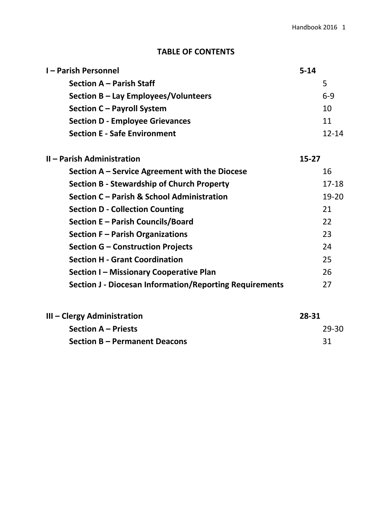# **TABLE OF CONTENTS**

| <b>I-Parish Personnel</b>                                      | $5 - 14$  |           |
|----------------------------------------------------------------|-----------|-----------|
| <b>Section A - Parish Staff</b>                                |           | 5         |
| Section B - Lay Employees/Volunteers                           |           | $6 - 9$   |
| Section C - Payroll System                                     |           | 10        |
| <b>Section D - Employee Grievances</b>                         |           | 11        |
| <b>Section E - Safe Environment</b>                            |           | $12 - 14$ |
| II - Parish Administration                                     | $15 - 27$ |           |
| Section A – Service Agreement with the Diocese                 |           | 16        |
| <b>Section B - Stewardship of Church Property</b>              |           | $17 - 18$ |
| Section C - Parish & School Administration                     |           | $19 - 20$ |
| <b>Section D - Collection Counting</b>                         |           | 21        |
| Section E - Parish Councils/Board                              |           | 22        |
| Section F - Parish Organizations                               |           | 23        |
| Section G - Construction Projects                              |           | 24        |
| <b>Section H - Grant Coordination</b>                          |           | 25        |
| Section I - Missionary Cooperative Plan                        |           | 26        |
| <b>Section J - Diocesan Information/Reporting Requirements</b> |           | 27        |
| III - Clergy Administration                                    | 28-31     |           |

| l – Clergy Administration            | 28-31 |
|--------------------------------------|-------|
| <b>Section A – Priests</b>           | 29-30 |
| <b>Section B - Permanent Deacons</b> |       |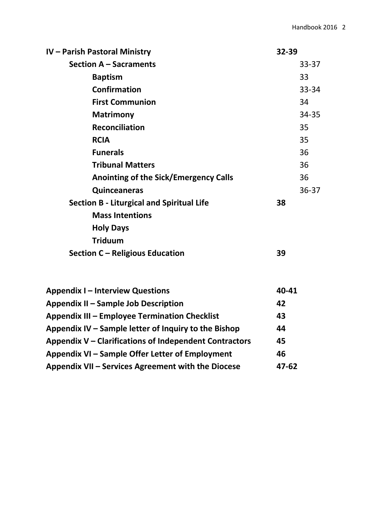| IV - Parish Pastoral Ministry                    | 32-39     |  |
|--------------------------------------------------|-----------|--|
| <b>Section A - Sacraments</b>                    | $33 - 37$ |  |
| <b>Baptism</b>                                   | 33        |  |
| <b>Confirmation</b>                              | 33-34     |  |
| <b>First Communion</b>                           | 34        |  |
| <b>Matrimony</b>                                 | 34-35     |  |
| <b>Reconciliation</b>                            | 35        |  |
| <b>RCIA</b>                                      | 35        |  |
| <b>Funerals</b>                                  | 36        |  |
| <b>Tribunal Matters</b>                          | 36        |  |
| <b>Anointing of the Sick/Emergency Calls</b>     | 36        |  |
| <b>Quinceaneras</b>                              | $36 - 37$ |  |
| <b>Section B - Liturgical and Spiritual Life</b> | 38        |  |
| <b>Mass Intentions</b>                           |           |  |
| <b>Holy Days</b>                                 |           |  |
| <b>Triduum</b>                                   |           |  |
| Section C - Religious Education                  | 39        |  |
| <b>Appendix I – Interview Questions</b>          | 40-41     |  |

| Appendix I – Interview Questions                       | 90-91     |
|--------------------------------------------------------|-----------|
| Appendix II - Sample Job Description                   | 42        |
| <b>Appendix III - Employee Termination Checklist</b>   | 43        |
| Appendix IV – Sample letter of Inquiry to the Bishop   | 44        |
| Appendix V – Clarifications of Independent Contractors | 45        |
| Appendix VI – Sample Offer Letter of Employment        | 46        |
| Appendix VII – Services Agreement with the Diocese     | $47 - 62$ |
|                                                        |           |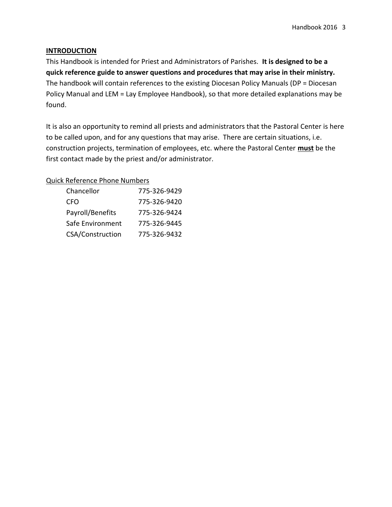### **INTRODUCTION**

This Handbook is intended for Priest and Administrators of Parishes. **It is designed to be a quick reference guide to answer questions and procedures that may arise in their ministry.** The handbook will contain references to the existing Diocesan Policy Manuals (DP = Diocesan Policy Manual and LEM = Lay Employee Handbook), so that more detailed explanations may be found.

It is also an opportunity to remind all priests and administrators that the Pastoral Center is here to be called upon, and for any questions that may arise. There are certain situations, i.e. construction projects, termination of employees, etc. where the Pastoral Center **must** be the first contact made by the priest and/or administrator.

### Quick Reference Phone Numbers

| Chancellor              | 775-326-9429 |
|-------------------------|--------------|
| CFO                     | 775-326-9420 |
| Payroll/Benefits        | 775-326-9424 |
| Safe Environment        | 775-326-9445 |
| <b>CSA/Construction</b> | 775-326-9432 |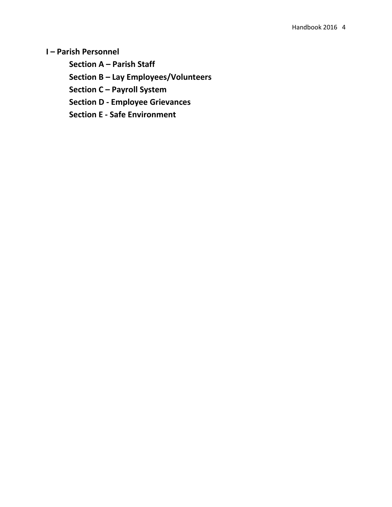**I – Parish Personnel**

**Section A – Parish Staff**

**Section B – Lay Employees/Volunteers**

**Section C – Payroll System** 

**Section D - Employee Grievances**

**Section E - Safe Environment**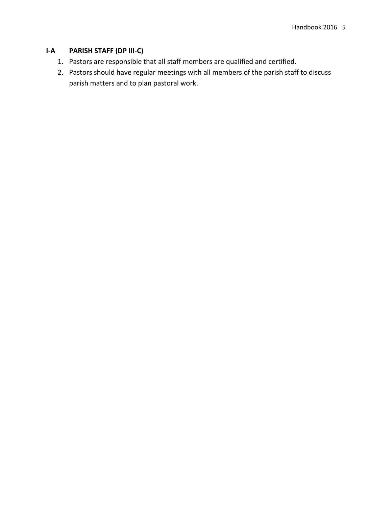## **I-A PARISH STAFF (DP III-C)**

- 1. Pastors are responsible that all staff members are qualified and certified.
- 2. Pastors should have regular meetings with all members of the parish staff to discuss parish matters and to plan pastoral work.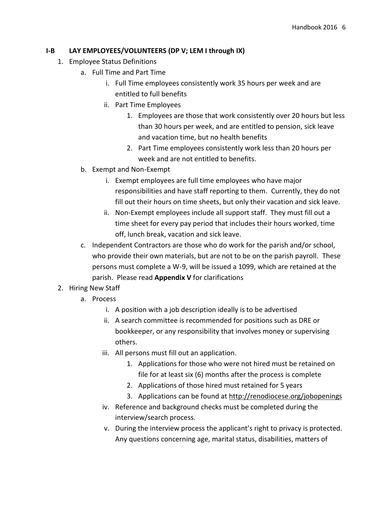### **I-B LAY EMPLOYEES/VOLUNTEERS (DP V; LEM I through IX)**

- 1. Employee Status Definitions
	- a. Full Time and Part Time
		- i. Full Time employees consistently work 35 hours per week and are entitled to full benefits
		- ii. Part Time Employees
			- 1. Employees are those that work consistently over 20 hours but less than 30 hours per week, and are entitled to pension, sick leave and vacation time, but no health benefits
			- 2. Part Time employees consistently work less than 20 hours per week and are not entitled to benefits.
	- b. Exempt and Non-Exempt
		- i. Exempt employees are full time employees who have major responsibilities and have staff reporting to them. Currently, they do not fill out their hours on time sheets, but only their vacation and sick leave.
		- ii. Non-Exempt employees include all support staff. They must fill out a time sheet for every pay period that includes their hours worked, time off, lunch break, vacation and sick leave.
	- c. Independent Contractors are those who do work for the parish and/or school, who provide their own materials, but are not to be on the parish payroll. These persons must complete a W-9, will be issued a 1099, which are retained at the parish. Please read **Appendix V** for clarifications
- 2. Hiring New Staff
	- a. Process
		- i. A position with a job description ideally is to be advertised
		- ii. A search committee is recommended for positions such as DRE or bookkeeper, or any responsibility that involves money or supervising others.
		- iii. All persons must fill out an application.
			- 1. Applications for those who were not hired must be retained on file for at least six (6) months after the process is complete
			- 2. Applications of those hired must retained for 5 years
			- 3. Applications can be found at http://renodiocese.org/jobopenings
		- iv. Reference and background checks must be completed during the interview/search process.
		- v. During the interview process the applicant's right to privacy is protected. Any questions concerning age, marital status, disabilities, matters of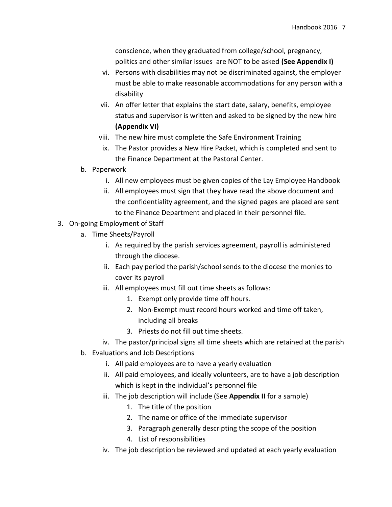conscience, when they graduated from college/school, pregnancy, politics and other similar issues are NOT to be asked **(See Appendix I)**

- vi. Persons with disabilities may not be discriminated against, the employer must be able to make reasonable accommodations for any person with a disability
- vii. An offer letter that explains the start date, salary, benefits, employee status and supervisor is written and asked to be signed by the new hire **(Appendix VI)**
- viii. The new hire must complete the Safe Environment Training
- ix. The Pastor provides a New Hire Packet, which is completed and sent to the Finance Department at the Pastoral Center.
- b. Paperwork
	- i. All new employees must be given copies of the Lay Employee Handbook
	- ii. All employees must sign that they have read the above document and the confidentiality agreement, and the signed pages are placed are sent to the Finance Department and placed in their personnel file.
- 3. On-going Employment of Staff
	- a. Time Sheets/Payroll
		- i. As required by the parish services agreement, payroll is administered through the diocese.
		- ii. Each pay period the parish/school sends to the diocese the monies to cover its payroll
		- iii. All employees must fill out time sheets as follows:
			- 1. Exempt only provide time off hours.
			- 2. Non-Exempt must record hours worked and time off taken, including all breaks
			- 3. Priests do not fill out time sheets.
		- iv. The pastor/principal signs all time sheets which are retained at the parish
	- b. Evaluations and Job Descriptions
		- i. All paid employees are to have a yearly evaluation
		- ii. All paid employees, and ideally volunteers, are to have a job description which is kept in the individual's personnel file
		- iii. The job description will include (See **Appendix II** for a sample)
			- 1. The title of the position
			- 2. The name or office of the immediate supervisor
			- 3. Paragraph generally descripting the scope of the position
			- 4. List of responsibilities
		- iv. The job description be reviewed and updated at each yearly evaluation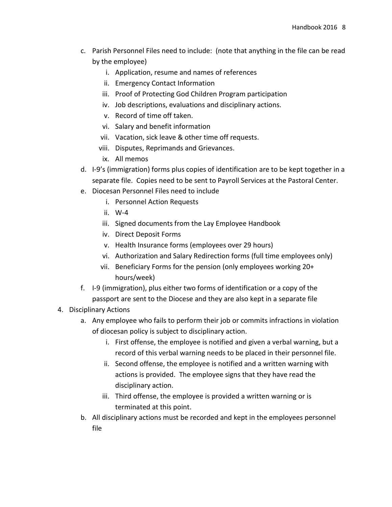- c. Parish Personnel Files need to include: (note that anything in the file can be read by the employee)
	- i. Application, resume and names of references
	- ii. Emergency Contact Information
	- iii. Proof of Protecting God Children Program participation
	- iv. Job descriptions, evaluations and disciplinary actions.
	- v. Record of time off taken.
	- vi. Salary and benefit information
	- vii. Vacation, sick leave & other time off requests.
	- viii. Disputes, Reprimands and Grievances.
	- ix. All memos
- d. I-9's (immigration) forms plus copies of identification are to be kept together in a separate file. Copies need to be sent to Payroll Services at the Pastoral Center.
- e. Diocesan Personnel Files need to include
	- i. Personnel Action Requests
	- ii. W-4
	- iii. Signed documents from the Lay Employee Handbook
	- iv. Direct Deposit Forms
	- v. Health Insurance forms (employees over 29 hours)
	- vi. Authorization and Salary Redirection forms (full time employees only)
	- vii. Beneficiary Forms for the pension (only employees working 20+ hours/week)
- f. I-9 (immigration), plus either two forms of identification or a copy of the passport are sent to the Diocese and they are also kept in a separate file

### 4. Disciplinary Actions

- a. Any employee who fails to perform their job or commits infractions in violation of diocesan policy is subject to disciplinary action.
	- i. First offense, the employee is notified and given a verbal warning, but a record of this verbal warning needs to be placed in their personnel file.
	- ii. Second offense, the employee is notified and a written warning with actions is provided. The employee signs that they have read the disciplinary action.
	- iii. Third offense, the employee is provided a written warning or is terminated at this point.
- b. All disciplinary actions must be recorded and kept in the employees personnel file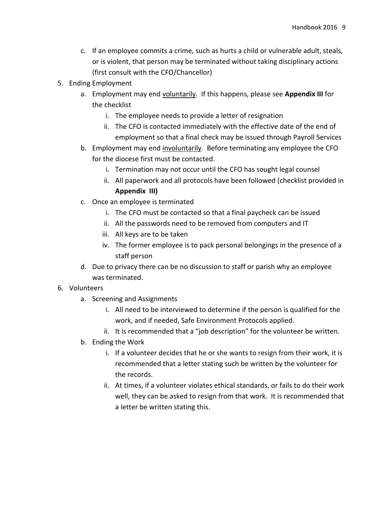- c. If an employee commits a crime, such as hurts a child or vulnerable adult, steals, or is violent, that person may be terminated without taking disciplinary actions (first consult with the CFO/Chancellor)
- 5. Ending Employment
	- a. Employment may end voluntarily. If this happens, please see **Appendix III** for the checklist
		- i. The employee needs to provide a letter of resignation
		- ii. The CFO is contacted immediately with the effective date of the end of employment so that a final check may be issued through Payroll Services
	- b. Employment may end involuntarily. Before terminating any employee the CFO for the diocese first must be contacted.
		- i. Termination may not occur until the CFO has sought legal counsel
		- ii. All paperwork and all protocols have been followed (checklist provided in **Appendix III)**
	- c. Once an employee is terminated
		- i. The CFO must be contacted so that a final paycheck can be issued
		- ii. All the passwords need to be removed from computers and IT
		- iii. All keys are to be taken
		- iv. The former employee is to pack personal belongings in the presence of a staff person
	- d. Due to privacy there can be no discussion to staff or parish why an employee was terminated.
- 6. Volunteers
	- a. Screening and Assignments
		- i. All need to be interviewed to determine if the person is qualified for the work, and if needed, Safe Environment Protocols applied.
		- ii. It is recommended that a "job description" for the volunteer be written.
	- b. Ending the Work
		- i. If a volunteer decides that he or she wants to resign from their work, it is recommended that a letter stating such be written by the volunteer for the records.
		- ii. At times, if a volunteer violates ethical standards, or fails to do their work well, they can be asked to resign from that work. It is recommended that a letter be written stating this.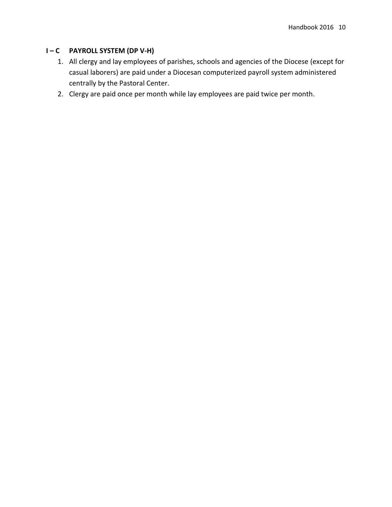# **I – C PAYROLL SYSTEM (DP V-H)**

- 1. All clergy and lay employees of parishes, schools and agencies of the Diocese (except for casual laborers) are paid under a Diocesan computerized payroll system administered centrally by the Pastoral Center.
- 2. Clergy are paid once per month while lay employees are paid twice per month.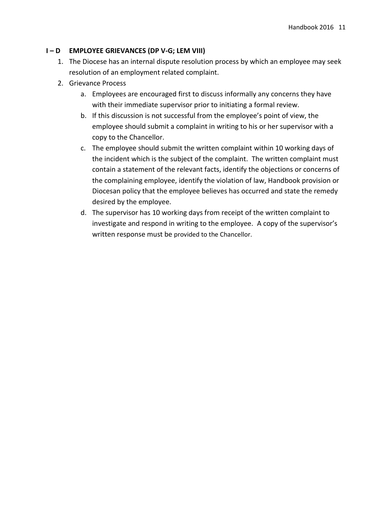## **I – D EMPLOYEE GRIEVANCES (DP V-G; LEM VIII)**

- 1. The Diocese has an internal dispute resolution process by which an employee may seek resolution of an employment related complaint.
- 2. Grievance Process
	- a. Employees are encouraged first to discuss informally any concerns they have with their immediate supervisor prior to initiating a formal review.
	- b. If this discussion is not successful from the employee's point of view, the employee should submit a complaint in writing to his or her supervisor with a copy to the Chancellor.
	- c. The employee should submit the written complaint within 10 working days of the incident which is the subject of the complaint. The written complaint must contain a statement of the relevant facts, identify the objections or concerns of the complaining employee, identify the violation of law, Handbook provision or Diocesan policy that the employee believes has occurred and state the remedy desired by the employee.
	- d. The supervisor has 10 working days from receipt of the written complaint to investigate and respond in writing to the employee. A copy of the supervisor's written response must be provided to the Chancellor.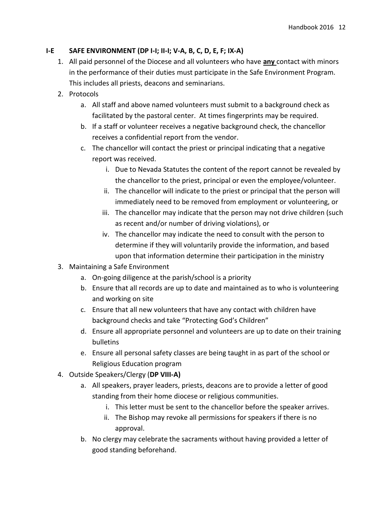## **I-E SAFE ENVIRONMENT (DP I-I; II-I; V-A, B, C, D, E, F; IX-A)**

- 1. All paid personnel of the Diocese and all volunteers who have **any** contact with minors in the performance of their duties must participate in the Safe Environment Program. This includes all priests, deacons and seminarians.
- 2. Protocols
	- a. All staff and above named volunteers must submit to a background check as facilitated by the pastoral center. At times fingerprints may be required.
	- b. If a staff or volunteer receives a negative background check, the chancellor receives a confidential report from the vendor.
	- c. The chancellor will contact the priest or principal indicating that a negative report was received.
		- i. Due to Nevada Statutes the content of the report cannot be revealed by the chancellor to the priest, principal or even the employee/volunteer.
		- ii. The chancellor will indicate to the priest or principal that the person will immediately need to be removed from employment or volunteering, or
		- iii. The chancellor may indicate that the person may not drive children (such as recent and/or number of driving violations), or
		- iv. The chancellor may indicate the need to consult with the person to determine if they will voluntarily provide the information, and based upon that information determine their participation in the ministry
- 3. Maintaining a Safe Environment
	- a. On-going diligence at the parish/school is a priority
	- b. Ensure that all records are up to date and maintained as to who is volunteering and working on site
	- c. Ensure that all new volunteers that have any contact with children have background checks and take "Protecting God's Children"
	- d. Ensure all appropriate personnel and volunteers are up to date on their training bulletins
	- e. Ensure all personal safety classes are being taught in as part of the school or Religious Education program
- 4. Outside Speakers/Clergy (**DP VIII-A)**
	- a. All speakers, prayer leaders, priests, deacons are to provide a letter of good standing from their home diocese or religious communities.
		- i. This letter must be sent to the chancellor before the speaker arrives.
		- ii. The Bishop may revoke all permissions for speakers if there is no approval.
	- b. No clergy may celebrate the sacraments without having provided a letter of good standing beforehand.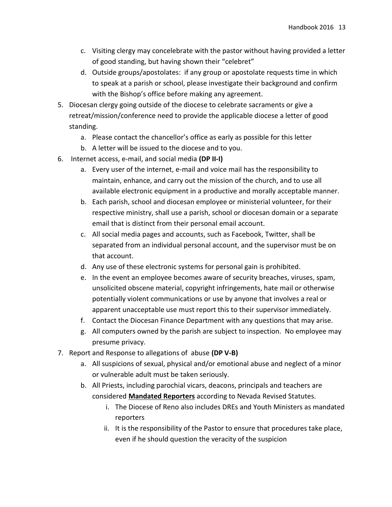- c. Visiting clergy may concelebrate with the pastor without having provided a letter of good standing, but having shown their "celebret"
- d. Outside groups/apostolates: if any group or apostolate requests time in which to speak at a parish or school, please investigate their background and confirm with the Bishop's office before making any agreement.
- 5. Diocesan clergy going outside of the diocese to celebrate sacraments or give a retreat/mission/conference need to provide the applicable diocese a letter of good standing.
	- a. Please contact the chancellor's office as early as possible for this letter
	- b. A letter will be issued to the diocese and to you.
- 6. Internet access, e-mail, and social media **(DP II-I)**
	- a. Every user of the internet, e-mail and voice mail has the responsibility to maintain, enhance, and carry out the mission of the church, and to use all available electronic equipment in a productive and morally acceptable manner.
	- b. Each parish, school and diocesan employee or ministerial volunteer, for their respective ministry, shall use a parish, school or diocesan domain or a separate email that is distinct from their personal email account.
	- c. All social media pages and accounts, such as Facebook, Twitter, shall be separated from an individual personal account, and the supervisor must be on that account.
	- d. Any use of these electronic systems for personal gain is prohibited.
	- e. In the event an employee becomes aware of security breaches, viruses, spam, unsolicited obscene material, copyright infringements, hate mail or otherwise potentially violent communications or use by anyone that involves a real or apparent unacceptable use must report this to their supervisor immediately.
	- f. Contact the Diocesan Finance Department with any questions that may arise.
	- g. All computers owned by the parish are subject to inspection. No employee may presume privacy.
- 7. Report and Response to allegations of abuse **(DP V-B)**
	- a. All suspicions of sexual, physical and/or emotional abuse and neglect of a minor or vulnerable adult must be taken seriously.
	- b. All Priests, including parochial vicars, deacons, principals and teachers are considered **Mandated Reporters** according to Nevada Revised Statutes.
		- i. The Diocese of Reno also includes DREs and Youth Ministers as mandated reporters
		- ii. It is the responsibility of the Pastor to ensure that procedures take place, even if he should question the veracity of the suspicion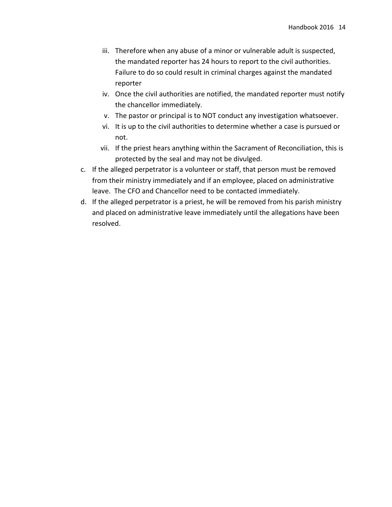- iii. Therefore when any abuse of a minor or vulnerable adult is suspected, the mandated reporter has 24 hours to report to the civil authorities. Failure to do so could result in criminal charges against the mandated reporter
- iv. Once the civil authorities are notified, the mandated reporter must notify the chancellor immediately.
- v. The pastor or principal is to NOT conduct any investigation whatsoever.
- vi. It is up to the civil authorities to determine whether a case is pursued or not.
- vii. If the priest hears anything within the Sacrament of Reconciliation, this is protected by the seal and may not be divulged.
- c. If the alleged perpetrator is a volunteer or staff, that person must be removed from their ministry immediately and if an employee, placed on administrative leave. The CFO and Chancellor need to be contacted immediately.
- d. If the alleged perpetrator is a priest, he will be removed from his parish ministry and placed on administrative leave immediately until the allegations have been resolved.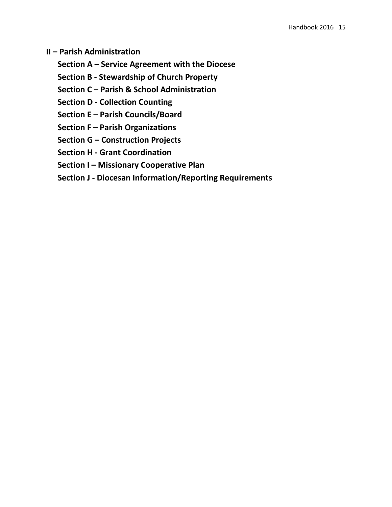**II – Parish Administration**

**Section A – Service Agreement with the Diocese**

**Section B - Stewardship of Church Property**

**Section C – Parish & School Administration**

**Section D - Collection Counting**

**Section E – Parish Councils/Board**

**Section F – Parish Organizations**

**Section G – Construction Projects**

**Section H - Grant Coordination**

**Section I – Missionary Cooperative Plan** 

**Section J - Diocesan Information/Reporting Requirements**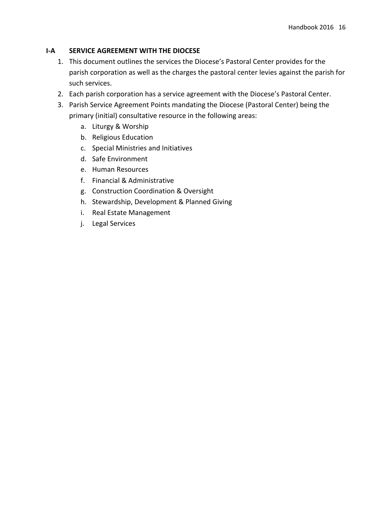### **I-A SERVICE AGREEMENT WITH THE DIOCESE**

- 1. This document outlines the services the Diocese's Pastoral Center provides for the parish corporation as well as the charges the pastoral center levies against the parish for such services.
- 2. Each parish corporation has a service agreement with the Diocese's Pastoral Center.
- 3. Parish Service Agreement Points mandating the Diocese (Pastoral Center) being the primary (initial) consultative resource in the following areas:
	- a. Liturgy & Worship
	- b. Religious Education
	- c. Special Ministries and Initiatives
	- d. Safe Environment
	- e. Human Resources
	- f. Financial & Administrative
	- g. Construction Coordination & Oversight
	- h. Stewardship, Development & Planned Giving
	- i. Real Estate Management
	- j. Legal Services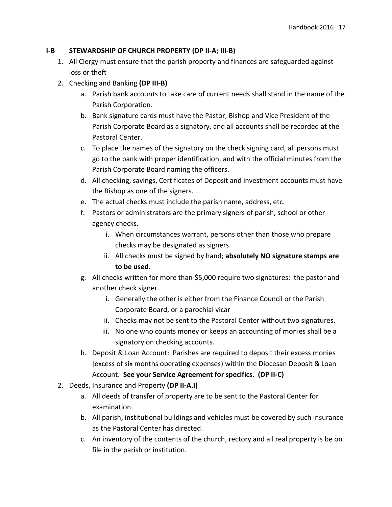### **I-B STEWARDSHIP OF CHURCH PROPERTY (DP II-A; III-B)**

- 1. All Clergy must ensure that the parish property and finances are safeguarded against loss or theft
- 2. Checking and Banking **(DP III-B)**
	- a. Parish bank accounts to take care of current needs shall stand in the name of the Parish Corporation.
	- b. Bank signature cards must have the Pastor, Bishop and Vice President of the Parish Corporate Board as a signatory, and all accounts shall be recorded at the Pastoral Center.
	- c. To place the names of the signatory on the check signing card, all persons must go to the bank with proper identification, and with the official minutes from the Parish Corporate Board naming the officers.
	- d. All checking, savings, Certificates of Deposit and investment accounts must have the Bishop as one of the signers.
	- e. The actual checks must include the parish name, address, etc.
	- f. Pastors or administrators are the primary signers of parish, school or other agency checks.
		- i. When circumstances warrant, persons other than those who prepare checks may be designated as signers.
		- ii. All checks must be signed by hand; **absolutely NO signature stamps are to be used.**
	- g. All checks written for more than \$5,000 require two signatures: the pastor and another check signer.
		- i. Generally the other is either from the Finance Council or the Parish Corporate Board, or a parochial vicar
		- ii. Checks may not be sent to the Pastoral Center without two signatures.
		- iii. No one who counts money or keeps an accounting of monies shall be a signatory on checking accounts.
	- h. Deposit & Loan Account: Parishes are required to deposit their excess monies [excess of six months operating expenses) within the Diocesan Deposit & Loan Account. **See your Service Agreement for specifics**. **(DP II-C)**
- 2. Deeds, Insurance and Property **(DP II-A.I)**
	- a. All deeds of transfer of property are to be sent to the Pastoral Center for examination.
	- b. All parish, institutional buildings and vehicles must be covered by such insurance as the Pastoral Center has directed.
	- c. An inventory of the contents of the church, rectory and all real property is be on file in the parish or institution.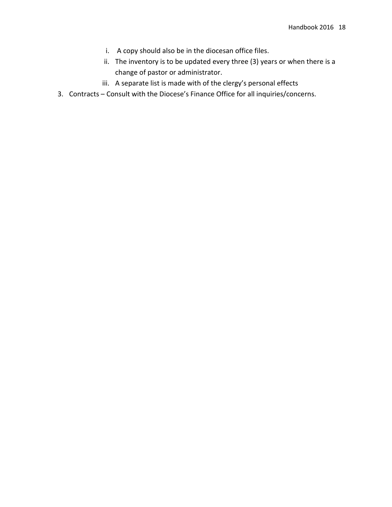- i. A copy should also be in the diocesan office files.
- ii. The inventory is to be updated every three (3) years or when there is a change of pastor or administrator.
- iii. A separate list is made with of the clergy's personal effects
- 3. Contracts Consult with the Diocese's Finance Office for all inquiries/concerns.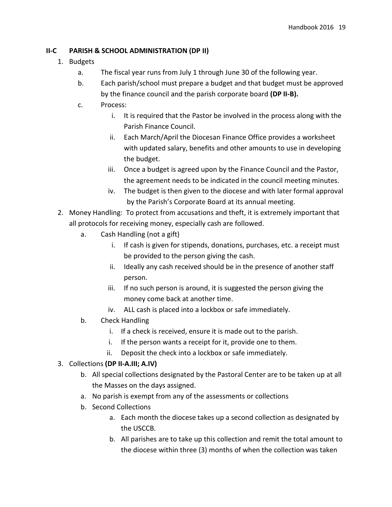### **II-C PARISH & SCHOOL ADMINISTRATION (DP II)**

- 1. Budgets
	- a. The fiscal year runs from July 1 through June 30 of the following year.
	- b. Each parish/school must prepare a budget and that budget must be approved by the finance council and the parish corporate board **(DP II-B).**
	- c. Process:
		- i. It is required that the Pastor be involved in the process along with the Parish Finance Council.
		- ii. Each March/April the Diocesan Finance Office provides a worksheet with updated salary, benefits and other amounts to use in developing the budget.
		- iii. Once a budget is agreed upon by the Finance Council and the Pastor, the agreement needs to be indicated in the council meeting minutes.
		- iv. The budget is then given to the diocese and with later formal approval by the Parish's Corporate Board at its annual meeting.
- 2. Money Handling: To protect from accusations and theft, it is extremely important that all protocols for receiving money, especially cash are followed.
	- a. Cash Handling (not a gift)
		- i. If cash is given for stipends, donations, purchases, etc. a receipt must be provided to the person giving the cash.
		- ii. Ideally any cash received should be in the presence of another staff person.
		- iii. If no such person is around, it is suggested the person giving the money come back at another time.
		- iv. ALL cash is placed into a lockbox or safe immediately.
	- b. Check Handling
		- i. If a check is received, ensure it is made out to the parish.
		- i. If the person wants a receipt for it, provide one to them.
		- ii. Deposit the check into a lockbox or safe immediately.
- 3. Collections **(DP II-A.III; A.IV)**
	- b. All special collections designated by the Pastoral Center are to be taken up at all the Masses on the days assigned.
	- a. No parish is exempt from any of the assessments or collections
	- b. Second Collections
		- a. Each month the diocese takes up a second collection as designated by the USCCB.
		- b. All parishes are to take up this collection and remit the total amount to the diocese within three (3) months of when the collection was taken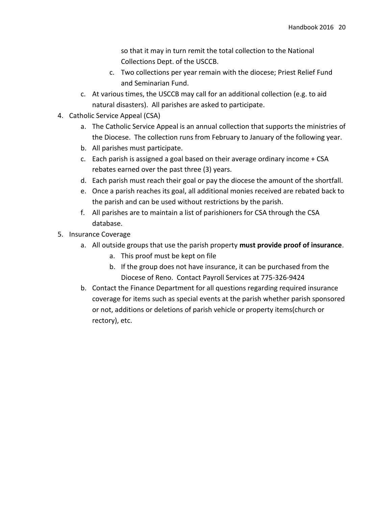so that it may in turn remit the total collection to the National Collections Dept. of the USCCB.

- c. Two collections per year remain with the diocese; Priest Relief Fund and Seminarian Fund.
- c. At various times, the USCCB may call for an additional collection (e.g. to aid natural disasters). All parishes are asked to participate.
- 4. Catholic Service Appeal (CSA)
	- a. The Catholic Service Appeal is an annual collection that supports the ministries of the Diocese. The collection runs from February to January of the following year.
	- b. All parishes must participate.
	- c. Each parish is assigned a goal based on their average ordinary income + CSA rebates earned over the past three (3) years.
	- d. Each parish must reach their goal or pay the diocese the amount of the shortfall.
	- e. Once a parish reaches its goal, all additional monies received are rebated back to the parish and can be used without restrictions by the parish.
	- f. All parishes are to maintain a list of parishioners for CSA through the CSA database.
- 5. Insurance Coverage
	- a. All outside groups that use the parish property **must provide proof of insurance**.
		- a. This proof must be kept on file
		- b. If the group does not have insurance, it can be purchased from the Diocese of Reno. Contact Payroll Services at 775-326-9424
	- b. Contact the Finance Department for all questions regarding required insurance coverage for items such as special events at the parish whether parish sponsored or not, additions or deletions of parish vehicle or property items(church or rectory), etc.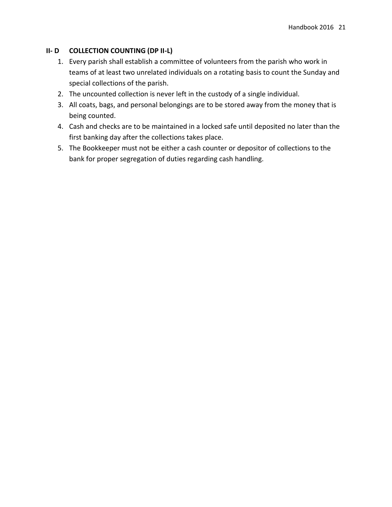## **II- D COLLECTION COUNTING (DP II-L)**

- 1. Every parish shall establish a committee of volunteers from the parish who work in teams of at least two unrelated individuals on a rotating basis to count the Sunday and special collections of the parish.
- 2. The uncounted collection is never left in the custody of a single individual.
- 3. All coats, bags, and personal belongings are to be stored away from the money that is being counted.
- 4. Cash and checks are to be maintained in a locked safe until deposited no later than the first banking day after the collections takes place.
- 5. The Bookkeeper must not be either a cash counter or depositor of collections to the bank for proper segregation of duties regarding cash handling.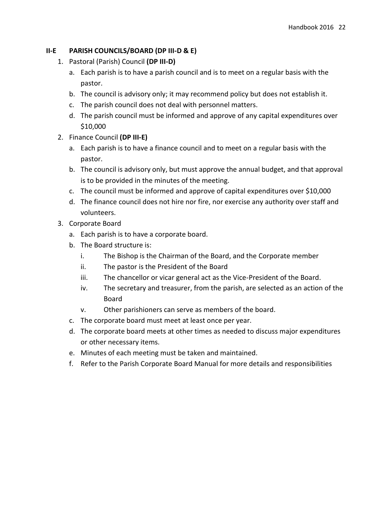### **II-E PARISH COUNCILS/BOARD (DP III-D & E)**

- 1. Pastoral (Parish) Council **(DP III-D)**
	- a. Each parish is to have a parish council and is to meet on a regular basis with the pastor.
	- b. The council is advisory only; it may recommend policy but does not establish it.
	- c. The parish council does not deal with personnel matters.
	- d. The parish council must be informed and approve of any capital expenditures over \$10,000
- 2. Finance Council **(DP III-E)**
	- a. Each parish is to have a finance council and to meet on a regular basis with the pastor.
	- b. The council is advisory only, but must approve the annual budget, and that approval is to be provided in the minutes of the meeting.
	- c. The council must be informed and approve of capital expenditures over \$10,000
	- d. The finance council does not hire nor fire, nor exercise any authority over staff and volunteers.
- 3. Corporate Board
	- a. Each parish is to have a corporate board.
	- b. The Board structure is:
		- i. The Bishop is the Chairman of the Board, and the Corporate member
		- ii. The pastor is the President of the Board
		- iii. The chancellor or vicar general act as the Vice-President of the Board.
		- iv. The secretary and treasurer, from the parish, are selected as an action of the Board
		- v. Other parishioners can serve as members of the board.
	- c. The corporate board must meet at least once per year.
	- d. The corporate board meets at other times as needed to discuss major expenditures or other necessary items.
	- e. Minutes of each meeting must be taken and maintained.
	- f. Refer to the Parish Corporate Board Manual for more details and responsibilities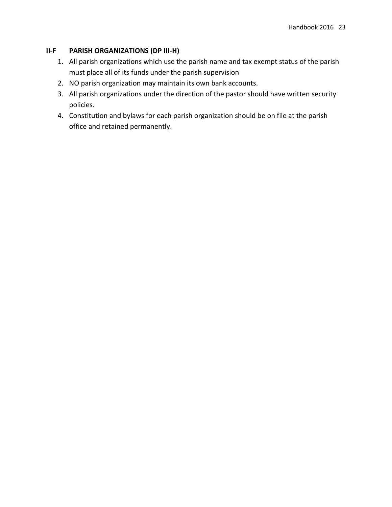### **II-F PARISH ORGANIZATIONS (DP III-H)**

- 1. All parish organizations which use the parish name and tax exempt status of the parish must place all of its funds under the parish supervision
- 2. NO parish organization may maintain its own bank accounts.
- 3. All parish organizations under the direction of the pastor should have written security policies.
- 4. Constitution and bylaws for each parish organization should be on file at the parish office and retained permanently.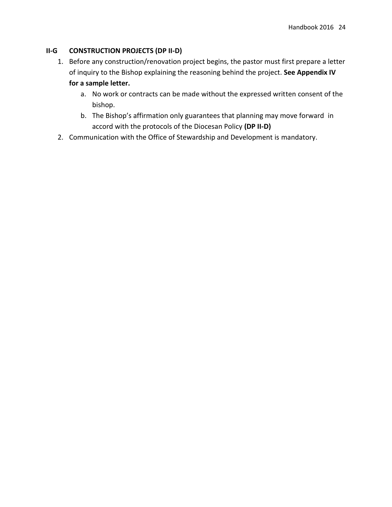## **II-G CONSTRUCTION PROJECTS (DP II-D)**

- 1. Before any construction/renovation project begins, the pastor must first prepare a letter of inquiry to the Bishop explaining the reasoning behind the project. **See Appendix IV for a sample letter.** 
	- a. No work or contracts can be made without the expressed written consent of the bishop.
	- b. The Bishop's affirmation only guarantees that planning may move forward in accord with the protocols of the Diocesan Policy **(DP II-D)**
- 2. Communication with the Office of Stewardship and Development is mandatory.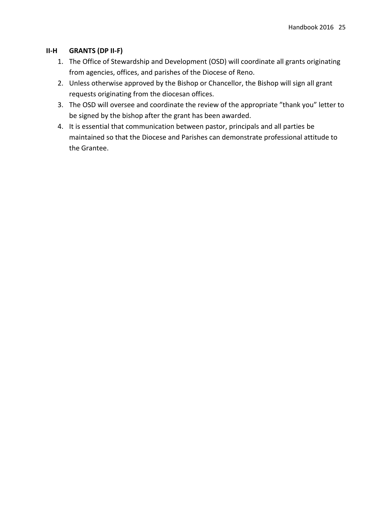### **II-H GRANTS (DP II-F)**

- 1. The Office of Stewardship and Development (OSD) will coordinate all grants originating from agencies, offices, and parishes of the Diocese of Reno.
- 2. Unless otherwise approved by the Bishop or Chancellor, the Bishop will sign all grant requests originating from the diocesan offices.
- 3. The OSD will oversee and coordinate the review of the appropriate "thank you" letter to be signed by the bishop after the grant has been awarded.
- 4. It is essential that communication between pastor, principals and all parties be maintained so that the Diocese and Parishes can demonstrate professional attitude to the Grantee.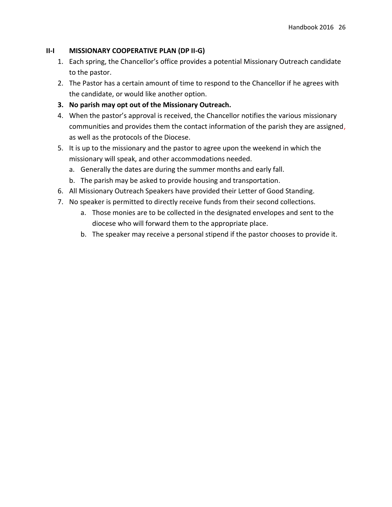### **II-I MISSIONARY COOPERATIVE PLAN (DP II-G)**

- 1. Each spring, the Chancellor's office provides a potential Missionary Outreach candidate to the pastor.
- 2. The Pastor has a certain amount of time to respond to the Chancellor if he agrees with the candidate, or would like another option.
- **3. No parish may opt out of the Missionary Outreach.**
- 4. When the pastor's approval is received, the Chancellor notifies the various missionary communities and provides them the contact information of the parish they are assigned, as well as the protocols of the Diocese.
- 5. It is up to the missionary and the pastor to agree upon the weekend in which the missionary will speak, and other accommodations needed.
	- a. Generally the dates are during the summer months and early fall.
	- b. The parish may be asked to provide housing and transportation.
- 6. All Missionary Outreach Speakers have provided their Letter of Good Standing.
- 7. No speaker is permitted to directly receive funds from their second collections.
	- a. Those monies are to be collected in the designated envelopes and sent to the diocese who will forward them to the appropriate place.
	- b. The speaker may receive a personal stipend if the pastor chooses to provide it.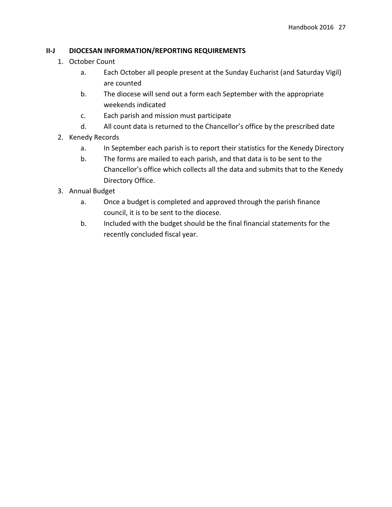## **II-J DIOCESAN INFORMATION/REPORTING REQUIREMENTS**

- 1. October Count
	- a. Each October all people present at the Sunday Eucharist (and Saturday Vigil) are counted
	- b. The diocese will send out a form each September with the appropriate weekends indicated
	- c. Each parish and mission must participate
	- d. All count data is returned to the Chancellor's office by the prescribed date
- 2. Kenedy Records
	- a. In September each parish is to report their statistics for the Kenedy Directory
	- b. The forms are mailed to each parish, and that data is to be sent to the Chancellor's office which collects all the data and submits that to the Kenedy Directory Office.
- 3. Annual Budget
	- a. Once a budget is completed and approved through the parish finance council, it is to be sent to the diocese.
	- b. Included with the budget should be the final financial statements for the recently concluded fiscal year.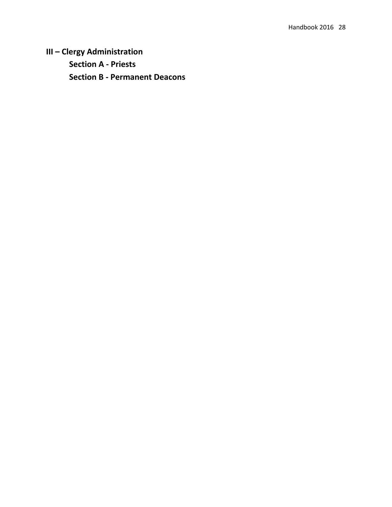**III – Clergy Administration Section A - Priests Section B - Permanent Deacons**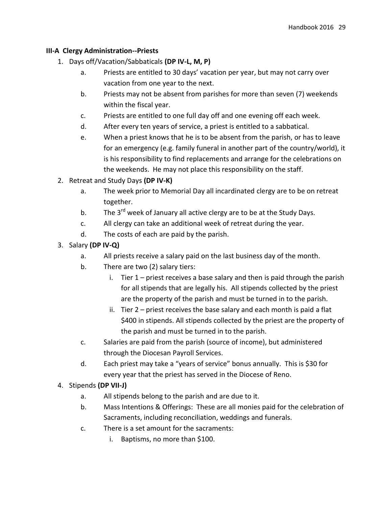### **III-A Clergy Administration--Priests**

- 1. Days off/Vacation/Sabbaticals **(DP IV-L, M, P)**
	- a. Priests are entitled to 30 days' vacation per year, but may not carry over vacation from one year to the next.
	- b. Priests may not be absent from parishes for more than seven (7) weekends within the fiscal year.
	- c. Priests are entitled to one full day off and one evening off each week.
	- d. After every ten years of service, a priest is entitled to a sabbatical.
	- e. When a priest knows that he is to be absent from the parish, or has to leave for an emergency (e.g. family funeral in another part of the country/world), it is his responsibility to find replacements and arrange for the celebrations on the weekends. He may not place this responsibility on the staff.
- 2. Retreat and Study Days **(DP IV-K)**
	- a. The week prior to Memorial Day all incardinated clergy are to be on retreat together.
	- b. The 3<sup>rd</sup> week of January all active clergy are to be at the Study Days.
	- c. All clergy can take an additional week of retreat during the year.
	- d. The costs of each are paid by the parish.
- 3. Salary **(DP IV-Q)**
	- a. All priests receive a salary paid on the last business day of the month.
	- b. There are two (2) salary tiers:
		- i. Tier 1 priest receives a base salary and then is paid through the parish for all stipends that are legally his. All stipends collected by the priest are the property of the parish and must be turned in to the parish.
		- ii. Tier 2 priest receives the base salary and each month is paid a flat \$400 in stipends. All stipends collected by the priest are the property of the parish and must be turned in to the parish.
	- c. Salaries are paid from the parish (source of income), but administered through the Diocesan Payroll Services.
	- d. Each priest may take a "years of service" bonus annually. This is \$30 for every year that the priest has served in the Diocese of Reno.

## 4. Stipends **(DP VII-J)**

- a. All stipends belong to the parish and are due to it.
- b. Mass Intentions & Offerings: These are all monies paid for the celebration of Sacraments, including reconciliation, weddings and funerals.
- c. There is a set amount for the sacraments:
	- i. Baptisms, no more than \$100.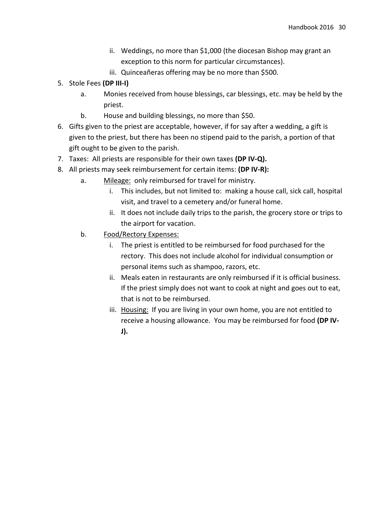- ii. Weddings, no more than \$1,000 (the diocesan Bishop may grant an exception to this norm for particular circumstances).
- iii. Quinceañeras offering may be no more than \$500.
- 5. Stole Fees **(DP III-I)**
	- a. Monies received from house blessings, car blessings, etc. may be held by the priest.
	- b. House and building blessings, no more than \$50.
- 6. Gifts given to the priest are acceptable, however, if for say after a wedding, a gift is given to the priest, but there has been no stipend paid to the parish, a portion of that gift ought to be given to the parish.
- 7. Taxes: All priests are responsible for their own taxes **(DP IV-Q).**
- 8. All priests may seek reimbursement for certain items: **(DP IV-R):** 
	- a. Mileage: only reimbursed for travel for ministry.
		- i. This includes, but not limited to: making a house call, sick call, hospital visit, and travel to a cemetery and/or funeral home.
		- ii. It does not include daily trips to the parish, the grocery store or trips to the airport for vacation.
	- b. Food/Rectory Expenses:
		- i. The priest is entitled to be reimbursed for food purchased for the rectory. This does not include alcohol for individual consumption or personal items such as shampoo, razors, etc.
		- ii. Meals eaten in restaurants are only reimbursed if it is official business. If the priest simply does not want to cook at night and goes out to eat, that is not to be reimbursed.
		- iii. Housing: If you are living in your own home, you are not entitled to receive a housing allowance. You may be reimbursed for food **(DP IV-J).**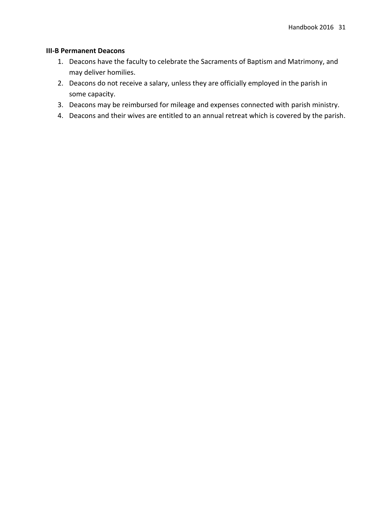### **III-B Permanent Deacons**

- 1. Deacons have the faculty to celebrate the Sacraments of Baptism and Matrimony, and may deliver homilies.
- 2. Deacons do not receive a salary, unless they are officially employed in the parish in some capacity.
- 3. Deacons may be reimbursed for mileage and expenses connected with parish ministry.
- 4. Deacons and their wives are entitled to an annual retreat which is covered by the parish.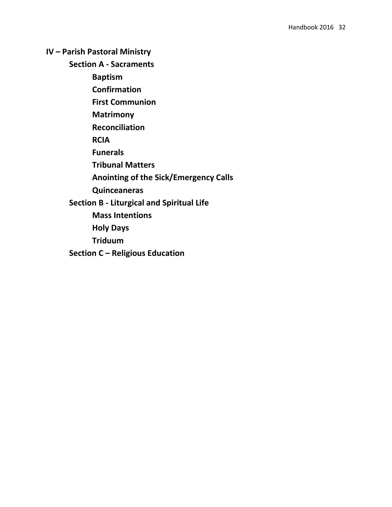**IV – Parish Pastoral Ministry**

**Section A - Sacraments**

**Baptism**

**Confirmation**

**First Communion**

**Matrimony**

**Reconciliation**

**RCIA**

**Funerals**

**Tribunal Matters**

**Anointing of the Sick/Emergency Calls**

**Quinceaneras**

**Section B - Liturgical and Spiritual Life**

**Mass Intentions**

**Holy Days**

**Triduum**

**Section C – Religious Education**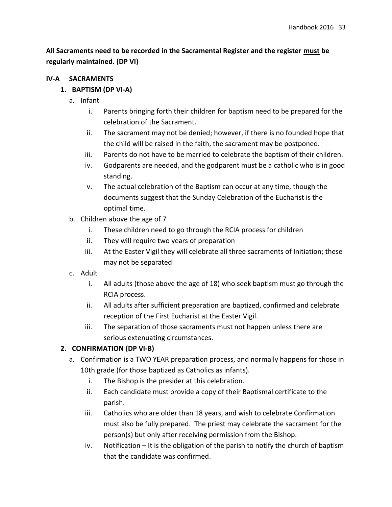# **All Sacraments need to be recorded in the Sacramental Register and the register must be regularly maintained. (DP VI)**

## **IV-A SACRAMENTS**

## **1. BAPTISM (DP VI-A)**

- a. Infant
	- i. Parents bringing forth their children for baptism need to be prepared for the celebration of the Sacrament.
	- ii. The sacrament may not be denied; however, if there is no founded hope that the child will be raised in the faith, the sacrament may be postponed.
	- iii. Parents do not have to be married to celebrate the baptism of their children.
	- iv. Godparents are needed, and the godparent must be a catholic who is in good standing.
	- v. The actual celebration of the Baptism can occur at any time, though the documents suggest that the Sunday Celebration of the Eucharist is the optimal time.
- b. Children above the age of 7
	- i. These children need to go through the RCIA process for children
	- ii. They will require two years of preparation
	- iii. At the Easter Vigil they will celebrate all three sacraments of Initiation; these may not be separated
- c. Adult
	- i. All adults (those above the age of 18) who seek baptism must go through the RCIA process.
	- ii. All adults after sufficient preparation are baptized, confirmed and celebrate reception of the First Eucharist at the Easter Vigil.
	- iii. The separation of those sacraments must not happen unless there are serious extenuating circumstances.

# **2. CONFIRMATION (DP VI-B)**

- a. Confirmation is a TWO YEAR preparation process, and normally happens for those in 10th grade (for those baptized as Catholics as infants).
	- i. The Bishop is the presider at this celebration.
	- ii. Each candidate must provide a copy of their Baptismal certificate to the parish.
	- iii. Catholics who are older than 18 years, and wish to celebrate Confirmation must also be fully prepared. The priest may celebrate the sacrament for the person(s) but only after receiving permission from the Bishop.
	- iv. Notification It is the obligation of the parish to notify the church of baptism that the candidate was confirmed.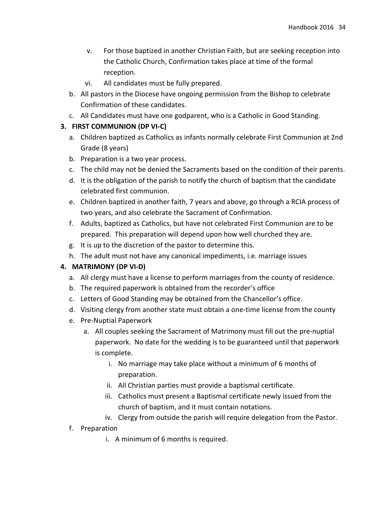- v. For those baptized in another Christian Faith, but are seeking reception into the Catholic Church, Confirmation takes place at time of the formal reception.
- vi. All candidates must be fully prepared.
- b. All pastors in the Diocese have ongoing permission from the Bishop to celebrate Confirmation of these candidates.
- c. All Candidates must have one godparent, who is a Catholic in Good Standing.

## **3. FIRST COMMUNION (DP VI-C)**

- a. Children baptized as Catholics as infants normally celebrate First Communion at 2nd Grade (8 years)
- b. Preparation is a two year process.
- c. The child may not be denied the Sacraments based on the condition of their parents.
- d. It is the obligation of the parish to notify the church of baptism that the candidate celebrated first communion.
- e. Children baptized in another faith, 7 years and above, go through a RCIA process of two years, and also celebrate the Sacrament of Confirmation.
- f. Adults, baptized as Catholics, but have not celebrated First Communion are to be prepared. This preparation will depend upon how well churched they are.
- g. It is up to the discretion of the pastor to determine this.
- h. The adult must not have any canonical impediments, i.e. marriage issues

## **4. MATRIMONY (DP VI-D)**

- a. All clergy must have a license to perform marriages from the county of residence.
- b. The required paperwork is obtained from the recorder's office
- c. Letters of Good Standing may be obtained from the Chancellor's office.
- d. Visiting clergy from another state must obtain a one-time license from the county
- e. Pre-Nuptial Paperwork
	- a. All couples seeking the Sacrament of Matrimony must fill out the pre-nuptial paperwork. No date for the wedding is to be guaranteed until that paperwork is complete.
		- i. No marriage may take place without a minimum of 6 months of preparation.
		- ii. All Christian parties must provide a baptismal certificate.
		- iii. Catholics must present a Baptismal certificate newly issued from the church of baptism, and it must contain notations.
		- iv. Clergy from outside the parish will require delegation from the Pastor.
- f. Preparation
	- i. A minimum of 6 months is required.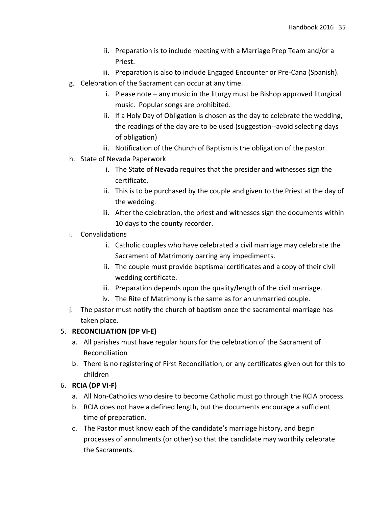- ii. Preparation is to include meeting with a Marriage Prep Team and/or a Priest.
- iii. Preparation is also to include Engaged Encounter or Pre-Cana (Spanish).
- g. Celebration of the Sacrament can occur at any time.
	- i. Please note any music in the liturgy must be Bishop approved liturgical music. Popular songs are prohibited.
	- ii. If a Holy Day of Obligation is chosen as the day to celebrate the wedding, the readings of the day are to be used (suggestion--avoid selecting days of obligation)
	- iii. Notification of the Church of Baptism is the obligation of the pastor.
- h. State of Nevada Paperwork
	- i. The State of Nevada requires that the presider and witnesses sign the certificate.
	- ii. This is to be purchased by the couple and given to the Priest at the day of the wedding.
	- iii. After the celebration, the priest and witnesses sign the documents within 10 days to the county recorder.
- i. Convalidations
	- i. Catholic couples who have celebrated a civil marriage may celebrate the Sacrament of Matrimony barring any impediments.
	- ii. The couple must provide baptismal certificates and a copy of their civil wedding certificate.
	- iii. Preparation depends upon the quality/length of the civil marriage.
	- iv. The Rite of Matrimony is the same as for an unmarried couple.
- j. The pastor must notify the church of baptism once the sacramental marriage has taken place.

### 5. **RECONCILIATION (DP VI-E)**

- a. All parishes must have regular hours for the celebration of the Sacrament of Reconciliation
- b. There is no registering of First Reconciliation, or any certificates given out for this to children
- 6. **RCIA (DP VI-F)**
	- a. All Non-Catholics who desire to become Catholic must go through the RCIA process.
	- b. RCIA does not have a defined length, but the documents encourage a sufficient time of preparation.
	- c. The Pastor must know each of the candidate's marriage history, and begin processes of annulments (or other) so that the candidate may worthily celebrate the Sacraments.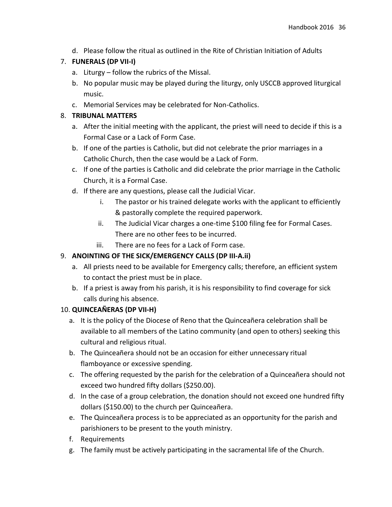d. Please follow the ritual as outlined in the Rite of Christian Initiation of Adults

# 7. **FUNERALS (DP VII-I)**

- a. Liturgy follow the rubrics of the Missal.
- b. No popular music may be played during the liturgy, only USCCB approved liturgical music.
- c. Memorial Services may be celebrated for Non-Catholics.

# 8. **TRIBUNAL MATTERS**

- a. After the initial meeting with the applicant, the priest will need to decide if this is a Formal Case or a Lack of Form Case.
- b. If one of the parties is Catholic, but did not celebrate the prior marriages in a Catholic Church, then the case would be a Lack of Form.
- c. If one of the parties is Catholic and did celebrate the prior marriage in the Catholic Church, it is a Formal Case.
- d. If there are any questions, please call the Judicial Vicar.
	- i. The pastor or his trained delegate works with the applicant to efficiently & pastorally complete the required paperwork.
	- ii. The Judicial Vicar charges a one-time \$100 filing fee for Formal Cases. There are no other fees to be incurred.
	- iii. There are no fees for a Lack of Form case.

# 9. **ANOINTING OF THE SICK/EMERGENCY CALLS (DP III-A.ii)**

- a. All priests need to be available for Emergency calls; therefore, an efficient system to contact the priest must be in place.
- b. If a priest is away from his parish, it is his responsibility to find coverage for sick calls during his absence.

# 10. **QUINCEAÑERAS (DP VII-H)**

- a. It is the policy of the Diocese of Reno that the Quinceañera celebration shall be available to all members of the Latino community (and open to others) seeking this cultural and religious ritual.
- b. The Quinceañera should not be an occasion for either unnecessary ritual flamboyance or excessive spending.
- c. The offering requested by the parish for the celebration of a Quinceañera should not exceed two hundred fifty dollars (\$250.00).
- d. In the case of a group celebration, the donation should not exceed one hundred fifty dollars (\$150.00) to the church per Quinceañera.
- e. The Quinceañera process is to be appreciated as an opportunity for the parish and parishioners to be present to the youth ministry.
- f. Requirements
- g. The family must be actively participating in the sacramental life of the Church.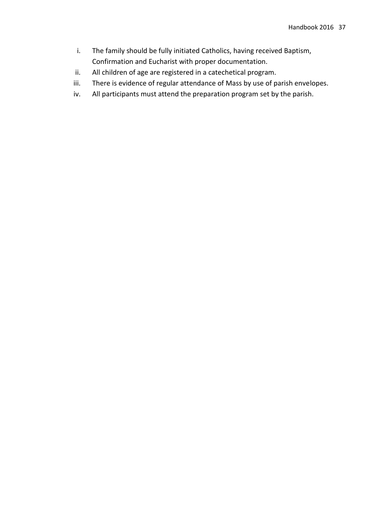- i. The family should be fully initiated Catholics, having received Baptism, Confirmation and Eucharist with proper documentation.
- ii. All children of age are registered in a catechetical program.
- iii. There is evidence of regular attendance of Mass by use of parish envelopes.
- iv. All participants must attend the preparation program set by the parish.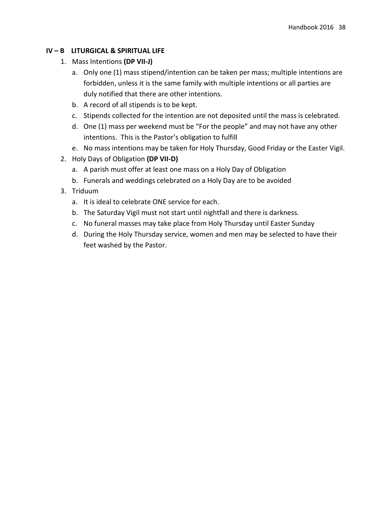### **IV – B LITURGICAL & SPIRITUAL LIFE**

- 1. Mass Intentions **(DP VII-J)**
	- a. Only one (1) mass stipend/intention can be taken per mass; multiple intentions are forbidden, unless it is the same family with multiple intentions or all parties are duly notified that there are other intentions.
	- b. A record of all stipends is to be kept.
	- c. Stipends collected for the intention are not deposited until the mass is celebrated.
	- d. One (1) mass per weekend must be "For the people" and may not have any other intentions. This is the Pastor's obligation to fulfill
	- e. No mass intentions may be taken for Holy Thursday, Good Friday or the Easter Vigil.
- 2. Holy Days of Obligation **(DP VII-D)**
	- a. A parish must offer at least one mass on a Holy Day of Obligation
	- b. Funerals and weddings celebrated on a Holy Day are to be avoided
- 3. Triduum
	- a. It is ideal to celebrate ONE service for each.
	- b. The Saturday Vigil must not start until nightfall and there is darkness.
	- c. No funeral masses may take place from Holy Thursday until Easter Sunday
	- d. During the Holy Thursday service, women and men may be selected to have their feet washed by the Pastor.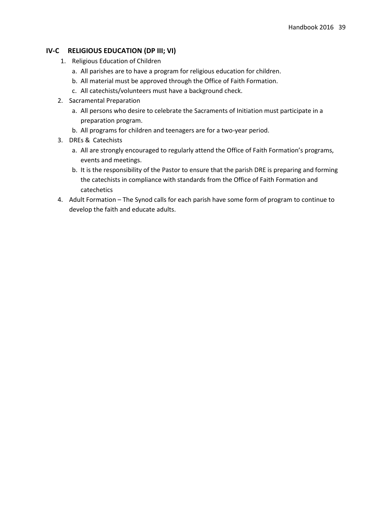### **IV-C RELIGIOUS EDUCATION (DP III; VI)**

- 1. Religious Education of Children
	- a. All parishes are to have a program for religious education for children.
	- b. All material must be approved through the Office of Faith Formation.
	- c. All catechists/volunteers must have a background check.
- 2. Sacramental Preparation
	- a. All persons who desire to celebrate the Sacraments of Initiation must participate in a preparation program.
	- b. All programs for children and teenagers are for a two-year period.
- 3. DREs & Catechists
	- a. All are strongly encouraged to regularly attend the Office of Faith Formation's programs, events and meetings.
	- b. It is the responsibility of the Pastor to ensure that the parish DRE is preparing and forming the catechists in compliance with standards from the Office of Faith Formation and catechetics
- 4. Adult Formation The Synod calls for each parish have some form of program to continue to develop the faith and educate adults.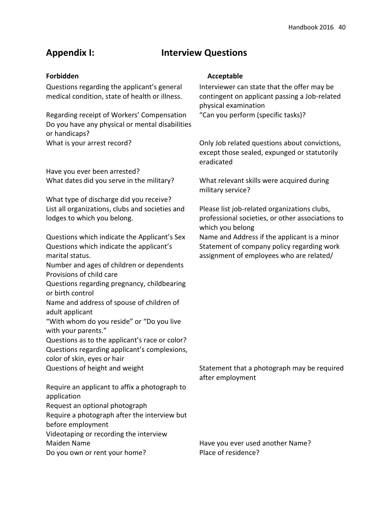# **Appendix I: Interview Questions**

Questions regarding the applicant's general medical condition, state of health or illness.

Regarding receipt of Workers' Compensation "Can you perform (specific tasks)? Do you have any physical or mental disabilities or handicaps?

Have you ever been arrested?

What type of discharge did you receive? List all organizations, clubs and societies and lodges to which you belong.

Questions which indicate the Applicant's Sex Name and Address if the applicant is a minor Questions which indicate the applicant's marital status. Number and ages of children or dependents Provisions of child care Questions regarding pregnancy, childbearing or birth control Name and address of spouse of children of adult applicant "With whom do you reside" or "Do you live with your parents." Questions as to the applicant's race or color? Questions regarding applicant's complexions, color of skin, eyes or hair Questions of height and weight Statement that a photograph may be required Require an applicant to affix a photograph to application Request an optional photograph

Require a photograph after the interview but

before employment

Videotaping or recording the interview

Do you own or rent your home? Place of residence?

### **Forbidden Acceptable**

Interviewer can state that the offer may be contingent on applicant passing a Job-related physical examination

What is your arrest record? The South only Job related questions about convictions, except those sealed, expunged or statutorily eradicated

What dates did you serve in the military? What relevant skills were acquired during military service?

> Please list job-related organizations clubs, professional societies, or other associations to which you belong

Statement of company policy regarding work assignment of employees who are related/

after employment

Maiden Name Have you ever used another Name?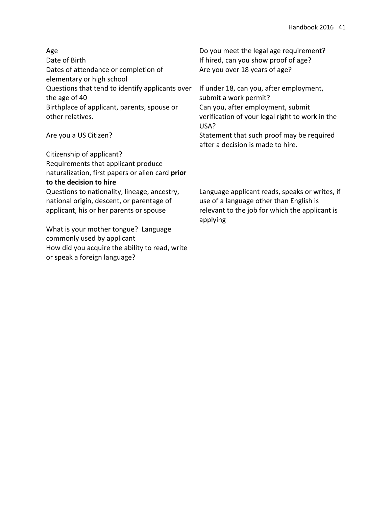| Age<br>Date of Birth                                              | Do you meet the legal age requirement?<br>If hired, can you show proof of age?               |
|-------------------------------------------------------------------|----------------------------------------------------------------------------------------------|
| Dates of attendance or completion of<br>elementary or high school | Are you over 18 years of age?                                                                |
| Questions that tend to identify applicants over<br>the age of 40  | If under 18, can you, after employment,<br>submit a work permit?                             |
| Birthplace of applicant, parents, spouse or<br>other relatives.   | Can you, after employment, submit<br>verification of your legal right to work in the<br>USA? |
| Are you a US Citizen?                                             | Statement that such proof may be required<br>after a decision is made to hire.               |
| Citizenship of applicant?                                         |                                                                                              |
| Requirements that applicant produce                               |                                                                                              |

naturalization, first papers or alien card **prior to the decision to hire** Questions to nationality, lineage, ancestry,

national origin, descent, or parentage of applicant, his or her parents or spouse

What is your mother tongue? Language commonly used by applicant How did you acquire the ability to read, write or speak a foreign language?

Language applicant reads, speaks or writes, if use of a language other than English is relevant to the job for which the applicant is applying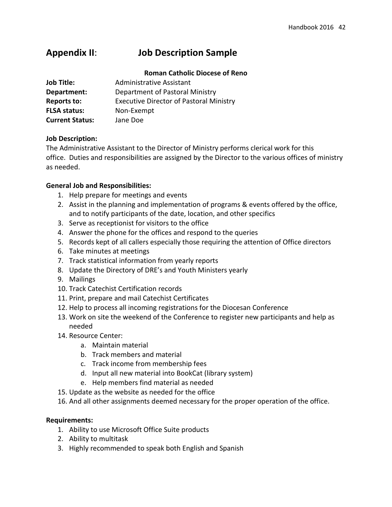# **Appendix II**: **Job Description Sample**

### **Roman Catholic Diocese of Reno**

| <b>Job Title:</b>      | Administrative Assistant                       |
|------------------------|------------------------------------------------|
| Department:            | Department of Pastoral Ministry                |
| <b>Reports to:</b>     | <b>Executive Director of Pastoral Ministry</b> |
| <b>FLSA status:</b>    | Non-Exempt                                     |
| <b>Current Status:</b> | Jane Doe                                       |

### **Job Description:**

The Administrative Assistant to the Director of Ministry performs clerical work for this office. Duties and responsibilities are assigned by the Director to the various offices of ministry as needed.

### **General Job and Responsibilities:**

- 1. Help prepare for meetings and events
- 2. Assist in the planning and implementation of programs & events offered by the office, and to notify participants of the date, location, and other specifics
- 3. Serve as receptionist for visitors to the office
- 4. Answer the phone for the offices and respond to the queries
- 5. Records kept of all callers especially those requiring the attention of Office directors
- 6. Take minutes at meetings
- 7. Track statistical information from yearly reports
- 8. Update the Directory of DRE's and Youth Ministers yearly
- 9. Mailings
- 10. Track Catechist Certification records
- 11. Print, prepare and mail Catechist Certificates
- 12. Help to process all incoming registrations for the Diocesan Conference
- 13. Work on site the weekend of the Conference to register new participants and help as needed
- 14. Resource Center:
	- a. Maintain material
	- b. Track members and material
	- c. Track income from membership fees
	- d. Input all new material into BookCat (library system)
	- e. Help members find material as needed
- 15. Update as the website as needed for the office
- 16. And all other assignments deemed necessary for the proper operation of the office.

### **Requirements:**

- 1. Ability to use Microsoft Office Suite products
- 2. Ability to multitask
- 3. Highly recommended to speak both English and Spanish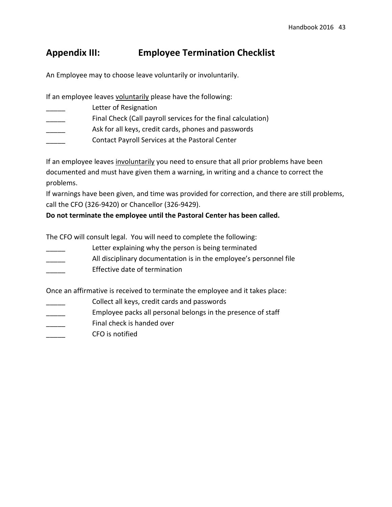# **Appendix III: Employee Termination Checklist**

An Employee may to choose leave voluntarily or involuntarily.

If an employee leaves voluntarily please have the following:

- Letter of Resignation
- Final Check (Call payroll services for the final calculation)
- Ask for all keys, credit cards, phones and passwords
- \_\_\_\_\_ Contact Payroll Services at the Pastoral Center

If an employee leaves involuntarily you need to ensure that all prior problems have been documented and must have given them a warning, in writing and a chance to correct the problems.

If warnings have been given, and time was provided for correction, and there are still problems, call the CFO (326-9420) or Chancellor (326-9429).

**Do not terminate the employee until the Pastoral Center has been called.**

The CFO will consult legal. You will need to complete the following:

- Letter explaining why the person is being terminated
- All disciplinary documentation is in the employee's personnel file
- \_\_\_\_\_ Effective date of termination

Once an affirmative is received to terminate the employee and it takes place:

- Collect all keys, credit cards and passwords
- Employee packs all personal belongs in the presence of staff
- Final check is handed over
- \_\_\_\_\_ CFO is notified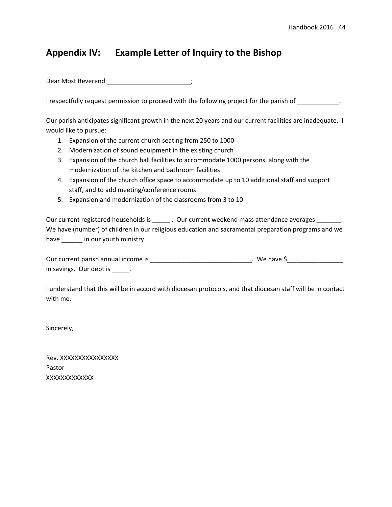# **Appendix IV: Example Letter of Inquiry to the Bishop**

Dear Most Reverend \_\_\_\_\_\_\_\_\_\_\_\_\_\_\_\_\_\_\_\_\_\_\_\_;

I respectfully request permission to proceed with the following project for the parish of \_\_\_\_\_\_\_\_\_\_\_\_\_.

Our parish anticipates significant growth in the next 20 years and our current facilities are inadequate. I would like to pursue:

- 1. Expansion of the current church seating from 250 to 1000
- 2. Modernization of sound equipment in the existing church
- 3. Expansion of the church hall facilities to accommodate 1000 persons, along with the modernization of the kitchen and bathroom facilities
- 4. Expansion of the church office space to accommodate up to 10 additional staff and support staff, and to add meeting/conference rooms
- 5. Expansion and modernization of the classrooms from 3 to 10

Our current registered households is \_\_\_\_\_\_\_. Our current weekend mass attendance averages \_\_\_\_\_\_\_\_. We have (number) of children in our religious education and sacramental preparation programs and we have \_\_\_\_\_\_\_ in our youth ministry.

| Our current parish annual income is | . We have \$ |
|-------------------------------------|--------------|
| in savings. Our debt is             |              |

I understand that this will be in accord with diocesan protocols, and that diocesan staff will be in contact with me.

Sincerely,

Rev. XXXXXXXXXXXXXXXX Pastor XXXXXXXXXXXXX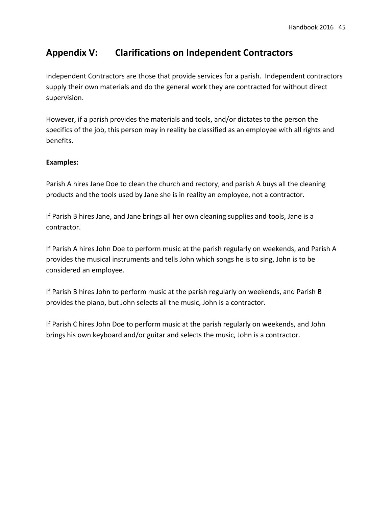# **Appendix V: Clarifications on Independent Contractors**

Independent Contractors are those that provide services for a parish. Independent contractors supply their own materials and do the general work they are contracted for without direct supervision.

However, if a parish provides the materials and tools, and/or dictates to the person the specifics of the job, this person may in reality be classified as an employee with all rights and benefits.

### **Examples:**

Parish A hires Jane Doe to clean the church and rectory, and parish A buys all the cleaning products and the tools used by Jane she is in reality an employee, not a contractor.

If Parish B hires Jane, and Jane brings all her own cleaning supplies and tools, Jane is a contractor.

If Parish A hires John Doe to perform music at the parish regularly on weekends, and Parish A provides the musical instruments and tells John which songs he is to sing, John is to be considered an employee.

If Parish B hires John to perform music at the parish regularly on weekends, and Parish B provides the piano, but John selects all the music, John is a contractor.

If Parish C hires John Doe to perform music at the parish regularly on weekends, and John brings his own keyboard and/or guitar and selects the music, John is a contractor.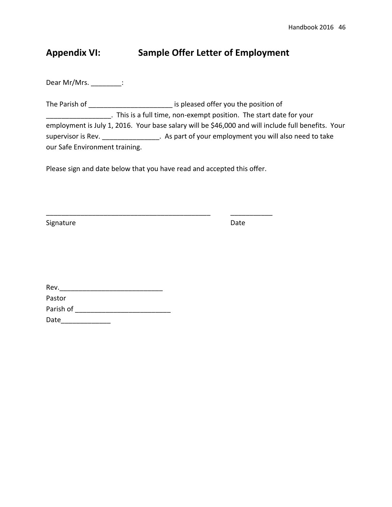# **Appendix VI: Sample Offer Letter of Employment**

Dear Mr/Mrs. \_\_\_\_\_\_\_\_:

The Parish of \_\_\_\_\_\_\_\_\_\_\_\_\_\_\_\_\_\_\_\_\_\_\_\_\_\_\_\_\_\_\_ is pleased offer you the position of \_\_\_\_\_\_\_\_\_\_\_\_\_\_\_\_\_. This is a full time, non-exempt position. The start date for your employment is July 1, 2016. Your base salary will be \$46,000 and will include full benefits. Your supervisor is Rev. \_\_\_\_\_\_\_\_\_\_\_\_\_\_\_\_\_. As part of your employment you will also need to take our Safe Environment training.

Please sign and date below that you have read and accepted this offer.

\_\_\_\_\_\_\_\_\_\_\_\_\_\_\_\_\_\_\_\_\_\_\_\_\_\_\_\_\_\_\_\_\_\_\_\_\_\_\_\_\_\_\_ \_\_\_\_\_\_\_\_\_\_\_

Signature Date Date

| Rev.      |  |
|-----------|--|
| Pastor    |  |
| Parish of |  |
| Date      |  |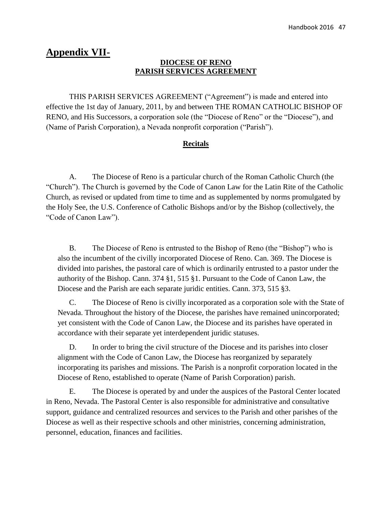# **Appendix VII-**

### **DIOCESE OF RENO PARISH SERVICES AGREEMENT**

THIS PARISH SERVICES AGREEMENT ("Agreement") is made and entered into effective the 1st day of January, 2011, by and between THE ROMAN CATHOLIC BISHOP OF RENO, and His Successors, a corporation sole (the "Diocese of Reno" or the "Diocese"), and (Name of Parish Corporation), a Nevada nonprofit corporation ("Parish").

## **Recitals**

A. The Diocese of Reno is a particular church of the Roman Catholic Church (the "Church"). The Church is governed by the Code of Canon Law for the Latin Rite of the Catholic Church, as revised or updated from time to time and as supplemented by norms promulgated by the Holy See, the U.S. Conference of Catholic Bishops and/or by the Bishop (collectively, the "Code of Canon Law").

B. The Diocese of Reno is entrusted to the Bishop of Reno (the "Bishop") who is also the incumbent of the civilly incorporated Diocese of Reno. Can. 369. The Diocese is divided into parishes, the pastoral care of which is ordinarily entrusted to a pastor under the authority of the Bishop. Cann. 374 §1, 515 §1. Pursuant to the Code of Canon Law, the Diocese and the Parish are each separate juridic entities. Cann. 373, 515 §3.

C. The Diocese of Reno is civilly incorporated as a corporation sole with the State of Nevada. Throughout the history of the Diocese, the parishes have remained unincorporated; yet consistent with the Code of Canon Law, the Diocese and its parishes have operated in accordance with their separate yet interdependent juridic statuses.

D. In order to bring the civil structure of the Diocese and its parishes into closer alignment with the Code of Canon Law, the Diocese has reorganized by separately incorporating its parishes and missions. The Parish is a nonprofit corporation located in the Diocese of Reno, established to operate (Name of Parish Corporation) parish.

E. The Diocese is operated by and under the auspices of the Pastoral Center located in Reno, Nevada. The Pastoral Center is also responsible for administrative and consultative support, guidance and centralized resources and services to the Parish and other parishes of the Diocese as well as their respective schools and other ministries, concerning administration, personnel, education, finances and facilities.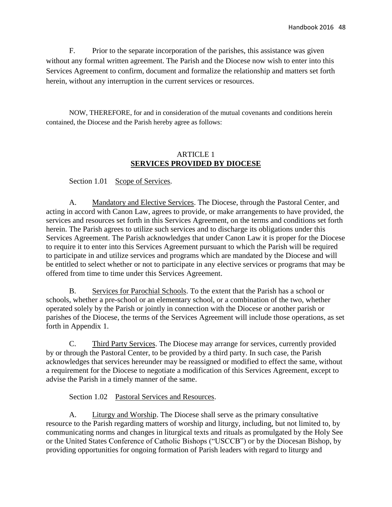F. Prior to the separate incorporation of the parishes, this assistance was given without any formal written agreement. The Parish and the Diocese now wish to enter into this Services Agreement to confirm, document and formalize the relationship and matters set forth herein, without any interruption in the current services or resources.

NOW, THEREFORE, for and in consideration of the mutual covenants and conditions herein contained, the Diocese and the Parish hereby agree as follows:

## ARTICLE 1 **SERVICES PROVIDED BY DIOCESE**

Section 1.01 Scope of Services.

A. Mandatory and Elective Services. The Diocese, through the Pastoral Center, and acting in accord with Canon Law, agrees to provide, or make arrangements to have provided, the services and resources set forth in this Services Agreement, on the terms and conditions set forth herein. The Parish agrees to utilize such services and to discharge its obligations under this Services Agreement. The Parish acknowledges that under Canon Law it is proper for the Diocese to require it to enter into this Services Agreement pursuant to which the Parish will be required to participate in and utilize services and programs which are mandated by the Diocese and will be entitled to select whether or not to participate in any elective services or programs that may be offered from time to time under this Services Agreement.

B. Services for Parochial Schools. To the extent that the Parish has a school or schools, whether a pre-school or an elementary school, or a combination of the two, whether operated solely by the Parish or jointly in connection with the Diocese or another parish or parishes of the Diocese, the terms of the Services Agreement will include those operations, as set forth in Appendix 1.

C. Third Party Services. The Diocese may arrange for services, currently provided by or through the Pastoral Center, to be provided by a third party. In such case, the Parish acknowledges that services hereunder may be reassigned or modified to effect the same, without a requirement for the Diocese to negotiate a modification of this Services Agreement, except to advise the Parish in a timely manner of the same.

Section 1.02 Pastoral Services and Resources.

A. Liturgy and Worship. The Diocese shall serve as the primary consultative resource to the Parish regarding matters of worship and liturgy, including, but not limited to, by communicating norms and changes in liturgical texts and rituals as promulgated by the Holy See or the United States Conference of Catholic Bishops ("USCCB") or by the Diocesan Bishop, by providing opportunities for ongoing formation of Parish leaders with regard to liturgy and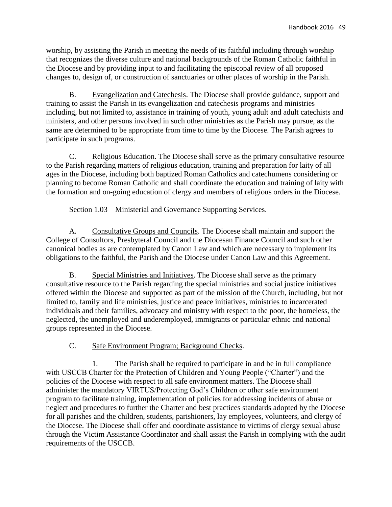worship, by assisting the Parish in meeting the needs of its faithful including through worship that recognizes the diverse culture and national backgrounds of the Roman Catholic faithful in the Diocese and by providing input to and facilitating the episcopal review of all proposed changes to, design of, or construction of sanctuaries or other places of worship in the Parish.

B. Evangelization and Catechesis. The Diocese shall provide guidance, support and training to assist the Parish in its evangelization and catechesis programs and ministries including, but not limited to, assistance in training of youth, young adult and adult catechists and ministers, and other persons involved in such other ministries as the Parish may pursue, as the same are determined to be appropriate from time to time by the Diocese. The Parish agrees to participate in such programs.

C. Religious Education. The Diocese shall serve as the primary consultative resource to the Parish regarding matters of religious education, training and preparation for laity of all ages in the Diocese, including both baptized Roman Catholics and catechumens considering or planning to become Roman Catholic and shall coordinate the education and training of laity with the formation and on-going education of clergy and members of religious orders in the Diocese.

## Section 1.03 Ministerial and Governance Supporting Services.

A. Consultative Groups and Councils. The Diocese shall maintain and support the College of Consultors, Presbyteral Council and the Diocesan Finance Council and such other canonical bodies as are contemplated by Canon Law and which are necessary to implement its obligations to the faithful, the Parish and the Diocese under Canon Law and this Agreement.

B. Special Ministries and Initiatives. The Diocese shall serve as the primary consultative resource to the Parish regarding the special ministries and social justice initiatives offered within the Diocese and supported as part of the mission of the Church, including, but not limited to, family and life ministries, justice and peace initiatives, ministries to incarcerated individuals and their families, advocacy and ministry with respect to the poor, the homeless, the neglected, the unemployed and underemployed, immigrants or particular ethnic and national groups represented in the Diocese.

### C. Safe Environment Program; Background Checks.

1. The Parish shall be required to participate in and be in full compliance with USCCB Charter for the Protection of Children and Young People ("Charter") and the policies of the Diocese with respect to all safe environment matters. The Diocese shall administer the mandatory VIRTUS/Protecting God's Children or other safe environment program to facilitate training, implementation of policies for addressing incidents of abuse or neglect and procedures to further the Charter and best practices standards adopted by the Diocese for all parishes and the children, students, parishioners, lay employees, volunteers, and clergy of the Diocese. The Diocese shall offer and coordinate assistance to victims of clergy sexual abuse through the Victim Assistance Coordinator and shall assist the Parish in complying with the audit requirements of the USCCB.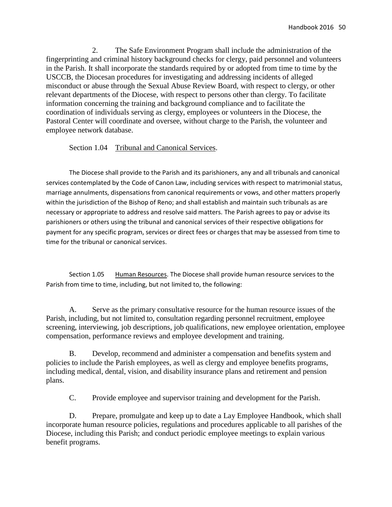2. The Safe Environment Program shall include the administration of the fingerprinting and criminal history background checks for clergy, paid personnel and volunteers in the Parish. It shall incorporate the standards required by or adopted from time to time by the USCCB, the Diocesan procedures for investigating and addressing incidents of alleged misconduct or abuse through the Sexual Abuse Review Board, with respect to clergy, or other relevant departments of the Diocese, with respect to persons other than clergy. To facilitate information concerning the training and background compliance and to facilitate the coordination of individuals serving as clergy, employees or volunteers in the Diocese, the Pastoral Center will coordinate and oversee, without charge to the Parish, the volunteer and employee network database.

Section 1.04 Tribunal and Canonical Services.

The Diocese shall provide to the Parish and its parishioners, any and all tribunals and canonical services contemplated by the Code of Canon Law, including services with respect to matrimonial status, marriage annulments, dispensations from canonical requirements or vows, and other matters properly within the jurisdiction of the Bishop of Reno; and shall establish and maintain such tribunals as are necessary or appropriate to address and resolve said matters. The Parish agrees to pay or advise its parishioners or others using the tribunal and canonical services of their respective obligations for payment for any specific program, services or direct fees or charges that may be assessed from time to time for the tribunal or canonical services.

Section 1.05 Human Resources. The Diocese shall provide human resource services to the Parish from time to time, including, but not limited to, the following:

A. Serve as the primary consultative resource for the human resource issues of the Parish, including, but not limited to, consultation regarding personnel recruitment, employee screening, interviewing, job descriptions, job qualifications, new employee orientation, employee compensation, performance reviews and employee development and training.

B. Develop, recommend and administer a compensation and benefits system and policies to include the Parish employees, as well as clergy and employee benefits programs, including medical, dental, vision, and disability insurance plans and retirement and pension plans.

C. Provide employee and supervisor training and development for the Parish.

D. Prepare, promulgate and keep up to date a Lay Employee Handbook, which shall incorporate human resource policies, regulations and procedures applicable to all parishes of the Diocese, including this Parish; and conduct periodic employee meetings to explain various benefit programs.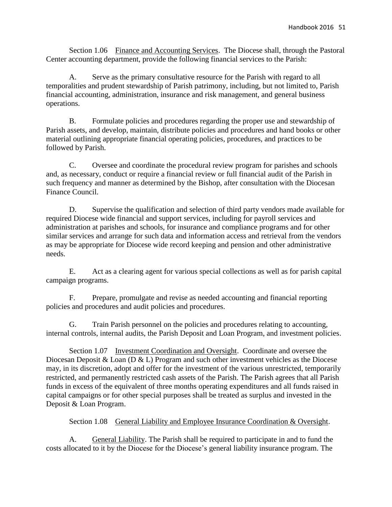Section 1.06 Finance and Accounting Services. The Diocese shall, through the Pastoral Center accounting department, provide the following financial services to the Parish:

A. Serve as the primary consultative resource for the Parish with regard to all temporalities and prudent stewardship of Parish patrimony, including, but not limited to, Parish financial accounting, administration, insurance and risk management, and general business operations.

B. Formulate policies and procedures regarding the proper use and stewardship of Parish assets, and develop, maintain, distribute policies and procedures and hand books or other material outlining appropriate financial operating policies, procedures, and practices to be followed by Parish.

C. Oversee and coordinate the procedural review program for parishes and schools and, as necessary, conduct or require a financial review or full financial audit of the Parish in such frequency and manner as determined by the Bishop, after consultation with the Diocesan Finance Council.

D. Supervise the qualification and selection of third party vendors made available for required Diocese wide financial and support services, including for payroll services and administration at parishes and schools, for insurance and compliance programs and for other similar services and arrange for such data and information access and retrieval from the vendors as may be appropriate for Diocese wide record keeping and pension and other administrative needs.

E. Act as a clearing agent for various special collections as well as for parish capital campaign programs.

F. Prepare, promulgate and revise as needed accounting and financial reporting policies and procedures and audit policies and procedures.

G. Train Parish personnel on the policies and procedures relating to accounting, internal controls, internal audits, the Parish Deposit and Loan Program, and investment policies.

Section 1.07 Investment Coordination and Oversight. Coordinate and oversee the Diocesan Deposit & Loan (D & L) Program and such other investment vehicles as the Diocese may, in its discretion, adopt and offer for the investment of the various unrestricted, temporarily restricted, and permanently restricted cash assets of the Parish. The Parish agrees that all Parish funds in excess of the equivalent of three months operating expenditures and all funds raised in capital campaigns or for other special purposes shall be treated as surplus and invested in the Deposit & Loan Program.

Section 1.08 General Liability and Employee Insurance Coordination & Oversight.

A. General Liability. The Parish shall be required to participate in and to fund the costs allocated to it by the Diocese for the Diocese's general liability insurance program. The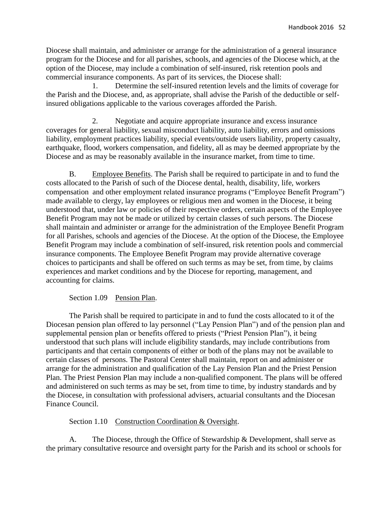Diocese shall maintain, and administer or arrange for the administration of a general insurance program for the Diocese and for all parishes, schools, and agencies of the Diocese which, at the option of the Diocese, may include a combination of self-insured, risk retention pools and commercial insurance components. As part of its services, the Diocese shall:

1. Determine the self-insured retention levels and the limits of coverage for the Parish and the Diocese, and, as appropriate, shall advise the Parish of the deductible or selfinsured obligations applicable to the various coverages afforded the Parish.

2. Negotiate and acquire appropriate insurance and excess insurance coverages for general liability, sexual misconduct liability, auto liability, errors and omissions liability, employment practices liability, special events/outside users liability, property casualty, earthquake, flood, workers compensation, and fidelity, all as may be deemed appropriate by the Diocese and as may be reasonably available in the insurance market, from time to time.

B. Employee Benefits. The Parish shall be required to participate in and to fund the costs allocated to the Parish of such of the Diocese dental, health, disability, life, workers compensation and other employment related insurance programs ("Employee Benefit Program") made available to clergy, lay employees or religious men and women in the Diocese, it being understood that, under law or policies of their respective orders, certain aspects of the Employee Benefit Program may not be made or utilized by certain classes of such persons. The Diocese shall maintain and administer or arrange for the administration of the Employee Benefit Program for all Parishes, schools and agencies of the Diocese. At the option of the Diocese, the Employee Benefit Program may include a combination of self-insured, risk retention pools and commercial insurance components. The Employee Benefit Program may provide alternative coverage choices to participants and shall be offered on such terms as may be set, from time, by claims experiences and market conditions and by the Diocese for reporting, management, and accounting for claims.

### Section 1.09 Pension Plan.

The Parish shall be required to participate in and to fund the costs allocated to it of the Diocesan pension plan offered to lay personnel ("Lay Pension Plan") and of the pension plan and supplemental pension plan or benefits offered to priests ("Priest Pension Plan"), it being understood that such plans will include eligibility standards, may include contributions from participants and that certain components of either or both of the plans may not be available to certain classes of persons. The Pastoral Center shall maintain, report on and administer or arrange for the administration and qualification of the Lay Pension Plan and the Priest Pension Plan. The Priest Pension Plan may include a non-qualified component. The plans will be offered and administered on such terms as may be set, from time to time, by industry standards and by the Diocese, in consultation with professional advisers, actuarial consultants and the Diocesan Finance Council.

### Section 1.10 Construction Coordination & Oversight.

A. The Diocese, through the Office of Stewardship & Development, shall serve as the primary consultative resource and oversight party for the Parish and its school or schools for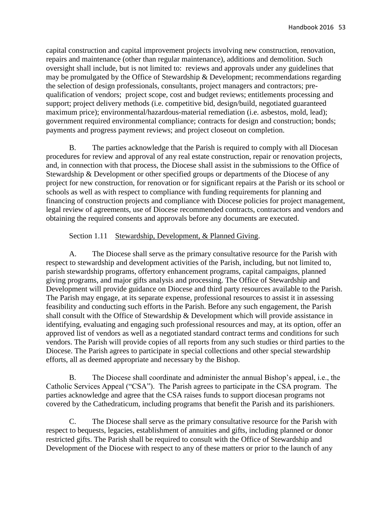capital construction and capital improvement projects involving new construction, renovation, repairs and maintenance (other than regular maintenance), additions and demolition. Such oversight shall include, but is not limited to: reviews and approvals under any guidelines that may be promulgated by the Office of Stewardship & Development; recommendations regarding the selection of design professionals, consultants, project managers and contractors; prequalification of vendors; project scope, cost and budget reviews; entitlements processing and support; project delivery methods (i.e. competitive bid, design/build, negotiated guaranteed maximum price); environmental/hazardous-material remediation (i.e. asbestos, mold, lead); government required environmental compliance; contracts for design and construction; bonds; payments and progress payment reviews; and project closeout on completion.

B. The parties acknowledge that the Parish is required to comply with all Diocesan procedures for review and approval of any real estate construction, repair or renovation projects, and, in connection with that process, the Diocese shall assist in the submissions to the Office of Stewardship & Development or other specified groups or departments of the Diocese of any project for new construction, for renovation or for significant repairs at the Parish or its school or schools as well as with respect to compliance with funding requirements for planning and financing of construction projects and compliance with Diocese policies for project management, legal review of agreements, use of Diocese recommended contracts, contractors and vendors and obtaining the required consents and approvals before any documents are executed.

### Section 1.11 Stewardship, Development, & Planned Giving.

A. The Diocese shall serve as the primary consultative resource for the Parish with respect to stewardship and development activities of the Parish, including, but not limited to, parish stewardship programs, offertory enhancement programs, capital campaigns, planned giving programs, and major gifts analysis and processing. The Office of Stewardship and Development will provide guidance on Diocese and third party resources available to the Parish. The Parish may engage, at its separate expense, professional resources to assist it in assessing feasibility and conducting such efforts in the Parish. Before any such engagement, the Parish shall consult with the Office of Stewardship & Development which will provide assistance in identifying, evaluating and engaging such professional resources and may, at its option, offer an approved list of vendors as well as a negotiated standard contract terms and conditions for such vendors. The Parish will provide copies of all reports from any such studies or third parties to the Diocese. The Parish agrees to participate in special collections and other special stewardship efforts, all as deemed appropriate and necessary by the Bishop.

B. The Diocese shall coordinate and administer the annual Bishop's appeal, i.e., the Catholic Services Appeal ("CSA"). The Parish agrees to participate in the CSA program. The parties acknowledge and agree that the CSA raises funds to support diocesan programs not covered by the Cathedraticum, including programs that benefit the Parish and its parishioners.

C. The Diocese shall serve as the primary consultative resource for the Parish with respect to bequests, legacies, establishment of annuities and gifts, including planned or donor restricted gifts. The Parish shall be required to consult with the Office of Stewardship and Development of the Diocese with respect to any of these matters or prior to the launch of any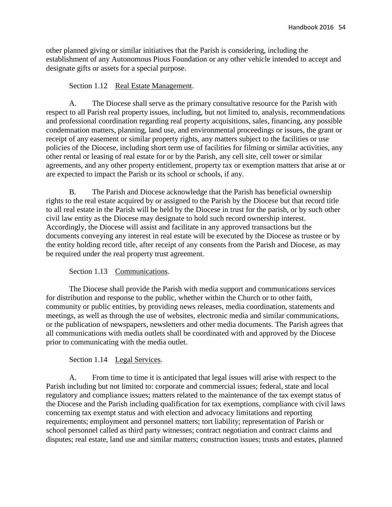other planned giving or similar initiatives that the Parish is considering, including the establishment of any Autonomous Pious Foundation or any other vehicle intended to accept and designate gifts or assets for a special purpose.

### Section 1.12 Real Estate Management.

A. The Diocese shall serve as the primary consultative resource for the Parish with respect to all Parish real property issues, including, but not limited to, analysis, recommendations and professional coordination regarding real property acquisitions, sales, financing, any possible condemnation matters, planning, land use, and environmental proceedings or issues, the grant or receipt of any easement or similar property rights, any matters subject to the facilities or use policies of the Diocese, including short term use of facilities for filming or similar activities, any other rental or leasing of real estate for or by the Parish, any cell site, cell tower or similar agreements, and any other property entitlement, property tax or exemption matters that arise at or are expected to impact the Parish or its school or schools, if any.

B. The Parish and Diocese acknowledge that the Parish has beneficial ownership rights to the real estate acquired by or assigned to the Parish by the Diocese but that record title to all real estate in the Parish will be held by the Diocese in trust for the parish, or by such other civil law entity as the Diocese may designate to hold such record ownership interest. Accordingly, the Diocese will assist and facilitate in any approved transactions but the documents conveying any interest in real estate will be executed by the Diocese as trustee or by the entity holding record title, after receipt of any consents from the Parish and Diocese, as may be required under the real property trust agreement.

Section 1.13 Communications.

The Diocese shall provide the Parish with media support and communications services for distribution and response to the public, whether within the Church or to other faith, community or public entities, by providing news releases, media coordination, statements and meetings, as well as through the use of websites, electronic media and similar communications, or the publication of newspapers, newsletters and other media documents. The Parish agrees that all communications with media outlets shall be coordinated with and approved by the Diocese prior to communicating with the media outlet.

### Section 1.14 Legal Services.

A. From time to time it is anticipated that legal issues will arise with respect to the Parish including but not limited to: corporate and commercial issues; federal, state and local regulatory and compliance issues; matters related to the maintenance of the tax exempt status of the Diocese and the Parish including qualification for tax exemptions, compliance with civil laws concerning tax exempt status and with election and advocacy limitations and reporting requirements; employment and personnel matters; tort liability; representation of Parish or school personnel called as third party witnesses; contract negotiation and contract claims and disputes; real estate, land use and similar matters; construction issues; trusts and estates, planned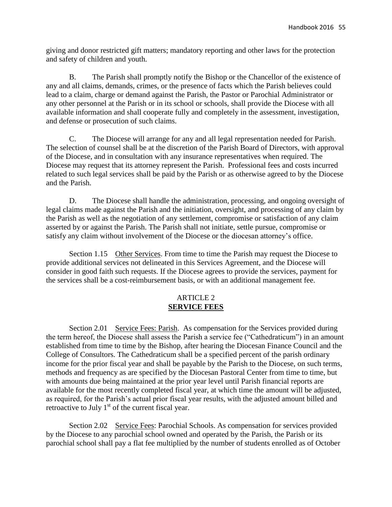giving and donor restricted gift matters; mandatory reporting and other laws for the protection and safety of children and youth.

B. The Parish shall promptly notify the Bishop or the Chancellor of the existence of any and all claims, demands, crimes, or the presence of facts which the Parish believes could lead to a claim, charge or demand against the Parish, the Pastor or Parochial Administrator or any other personnel at the Parish or in its school or schools, shall provide the Diocese with all available information and shall cooperate fully and completely in the assessment, investigation, and defense or prosecution of such claims.

C. The Diocese will arrange for any and all legal representation needed for Parish. The selection of counsel shall be at the discretion of the Parish Board of Directors, with approval of the Diocese, and in consultation with any insurance representatives when required. The Diocese may request that its attorney represent the Parish. Professional fees and costs incurred related to such legal services shall be paid by the Parish or as otherwise agreed to by the Diocese and the Parish.

D. The Diocese shall handle the administration, processing, and ongoing oversight of legal claims made against the Parish and the initiation, oversight, and processing of any claim by the Parish as well as the negotiation of any settlement, compromise or satisfaction of any claim asserted by or against the Parish. The Parish shall not initiate, settle pursue, compromise or satisfy any claim without involvement of the Diocese or the diocesan attorney's office.

Section 1.15 Other Services. From time to time the Parish may request the Diocese to provide additional services not delineated in this Services Agreement, and the Diocese will consider in good faith such requests. If the Diocese agrees to provide the services, payment for the services shall be a cost-reimbursement basis, or with an additional management fee.

### ARTICLE 2 **SERVICE FEES**

Section 2.01 Service Fees: Parish. As compensation for the Services provided during the term hereof, the Diocese shall assess the Parish a service fee ("Cathedraticum") in an amount established from time to time by the Bishop, after hearing the Diocesan Finance Council and the College of Consultors. The Cathedraticum shall be a specified percent of the parish ordinary income for the prior fiscal year and shall be payable by the Parish to the Diocese, on such terms, methods and frequency as are specified by the Diocesan Pastoral Center from time to time, but with amounts due being maintained at the prior year level until Parish financial reports are available for the most recently completed fiscal year, at which time the amount will be adjusted, as required, for the Parish's actual prior fiscal year results, with the adjusted amount billed and retroactive to July  $1<sup>st</sup>$  of the current fiscal year.

Section 2.02 Service Fees: Parochial Schools. As compensation for services provided by the Diocese to any parochial school owned and operated by the Parish, the Parish or its parochial school shall pay a flat fee multiplied by the number of students enrolled as of October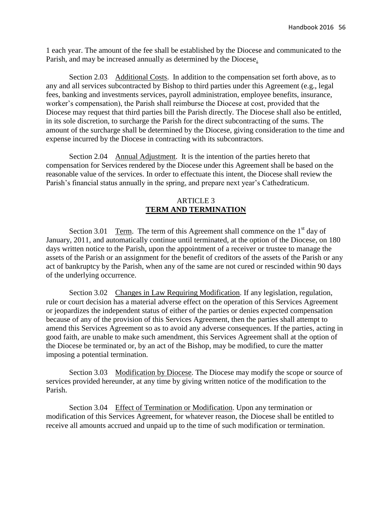1 each year. The amount of the fee shall be established by the Diocese and communicated to the Parish, and may be increased annually as determined by the Diocese.

Section 2.03 Additional Costs. In addition to the compensation set forth above, as to any and all services subcontracted by Bishop to third parties under this Agreement (e.g., legal fees, banking and investments services, payroll administration, employee benefits, insurance, worker's compensation), the Parish shall reimburse the Diocese at cost, provided that the Diocese may request that third parties bill the Parish directly. The Diocese shall also be entitled, in its sole discretion, to surcharge the Parish for the direct subcontracting of the sums. The amount of the surcharge shall be determined by the Diocese, giving consideration to the time and expense incurred by the Diocese in contracting with its subcontractors.

Section 2.04 Annual Adjustment. It is the intention of the parties hereto that compensation for Services rendered by the Diocese under this Agreement shall be based on the reasonable value of the services. In order to effectuate this intent, the Diocese shall review the Parish's financial status annually in the spring, and prepare next year's Cathedraticum.

## ARTICLE 3 **TERM AND TERMINATION**

Section 3.01 Term. The term of this Agreement shall commence on the  $1<sup>st</sup>$  day of January, 2011, and automatically continue until terminated, at the option of the Diocese, on 180 days written notice to the Parish, upon the appointment of a receiver or trustee to manage the assets of the Parish or an assignment for the benefit of creditors of the assets of the Parish or any act of bankruptcy by the Parish, when any of the same are not cured or rescinded within 90 days of the underlying occurrence.

Section 3.02 Changes in Law Requiring Modification. If any legislation, regulation, rule or court decision has a material adverse effect on the operation of this Services Agreement or jeopardizes the independent status of either of the parties or denies expected compensation because of any of the provision of this Services Agreement, then the parties shall attempt to amend this Services Agreement so as to avoid any adverse consequences. If the parties, acting in good faith, are unable to make such amendment, this Services Agreement shall at the option of the Diocese be terminated or, by an act of the Bishop, may be modified, to cure the matter imposing a potential termination.

Section 3.03 Modification by Diocese. The Diocese may modify the scope or source of services provided hereunder, at any time by giving written notice of the modification to the Parish.

Section 3.04 Effect of Termination or Modification. Upon any termination or modification of this Services Agreement, for whatever reason, the Diocese shall be entitled to receive all amounts accrued and unpaid up to the time of such modification or termination.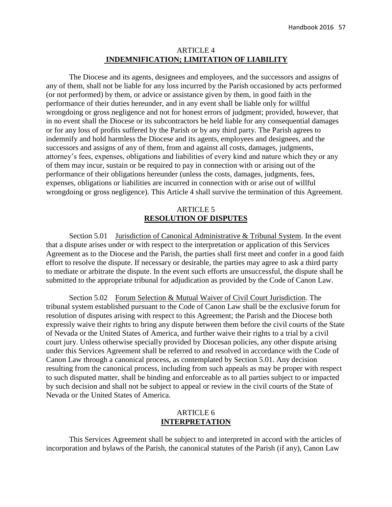### ARTICLE 4 **INDEMNIFICATION; LIMITATION OF LIABILITY**

The Diocese and its agents, designees and employees, and the successors and assigns of any of them, shall not be liable for any loss incurred by the Parish occasioned by acts performed (or not performed) by them, or advice or assistance given by them, in good faith in the performance of their duties hereunder, and in any event shall be liable only for willful wrongdoing or gross negligence and not for honest errors of judgment; provided, however, that in no event shall the Diocese or its subcontractors be held liable for any consequential damages or for any loss of profits suffered by the Parish or by any third party. The Parish agrees to indemnify and hold harmless the Diocese and its agents, employees and designees, and the successors and assigns of any of them, from and against all costs, damages, judgments, attorney's fees, expenses, obligations and liabilities of every kind and nature which they or any of them may incur, sustain or be required to pay in connection with or arising out of the performance of their obligations hereunder (unless the costs, damages, judgments, fees, expenses, obligations or liabilities are incurred in connection with or arise out of willful wrongdoing or gross negligence). This Article 4 shall survive the termination of this Agreement.

### ARTICLE 5 **RESOLUTION OF DISPUTES**

Section 5.01 Jurisdiction of Canonical Administrative & Tribunal System. In the event that a dispute arises under or with respect to the interpretation or application of this Services Agreement as to the Diocese and the Parish, the parties shall first meet and confer in a good faith effort to resolve the dispute. If necessary or desirable, the parties may agree to ask a third party to mediate or arbitrate the dispute. In the event such efforts are unsuccessful, the dispute shall be submitted to the appropriate tribunal for adjudication as provided by the Code of Canon Law.

Section 5.02 Forum Selection & Mutual Waiver of Civil Court Jurisdiction. The tribunal system established pursuant to the Code of Canon Law shall be the exclusive forum for resolution of disputes arising with respect to this Agreement; the Parish and the Diocese both expressly waive their rights to bring any dispute between them before the civil courts of the State of Nevada or the United States of America, and further waive their rights to a trial by a civil court jury. Unless otherwise specially provided by Diocesan policies, any other dispute arising under this Services Agreement shall be referred to and resolved in accordance with the Code of Canon Law through a canonical process, as contemplated by Section 5.01. Any decision resulting from the canonical process, including from such appeals as may be proper with respect to such disputed matter, shall be binding and enforceable as to all parties subject to or impacted by such decision and shall not be subject to appeal or review in the civil courts of the State of Nevada or the United States of America.

### ARTICLE 6 **INTERPRETATION**

This Services Agreement shall be subject to and interpreted in accord with the articles of incorporation and bylaws of the Parish, the canonical statutes of the Parish (if any), Canon Law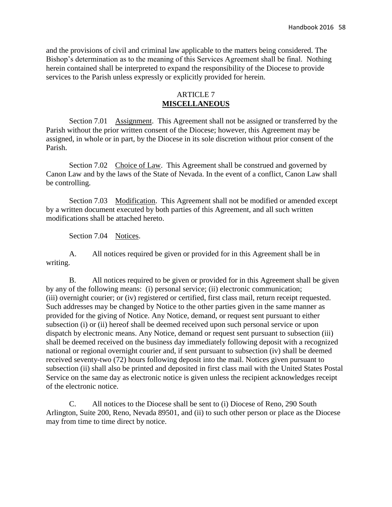and the provisions of civil and criminal law applicable to the matters being considered. The Bishop's determination as to the meaning of this Services Agreement shall be final. Nothing herein contained shall be interpreted to expand the responsibility of the Diocese to provide services to the Parish unless expressly or explicitly provided for herein.

### ARTICLE 7 **MISCELLANEOUS**

Section 7.01 Assignment. This Agreement shall not be assigned or transferred by the Parish without the prior written consent of the Diocese; however, this Agreement may be assigned, in whole or in part, by the Diocese in its sole discretion without prior consent of the Parish.

Section 7.02 Choice of Law. This Agreement shall be construed and governed by Canon Law and by the laws of the State of Nevada. In the event of a conflict, Canon Law shall be controlling.

Section 7.03 Modification. This Agreement shall not be modified or amended except by a written document executed by both parties of this Agreement, and all such written modifications shall be attached hereto.

Section 7.04 Notices.

A. All notices required be given or provided for in this Agreement shall be in writing.

B. All notices required to be given or provided for in this Agreement shall be given by any of the following means: (i) personal service; (ii) electronic communication; (iii) overnight courier; or (iv) registered or certified, first class mail, return receipt requested. Such addresses may be changed by Notice to the other parties given in the same manner as provided for the giving of Notice. Any Notice, demand, or request sent pursuant to either subsection (i) or (ii) hereof shall be deemed received upon such personal service or upon dispatch by electronic means. Any Notice, demand or request sent pursuant to subsection (iii) shall be deemed received on the business day immediately following deposit with a recognized national or regional overnight courier and, if sent pursuant to subsection (iv) shall be deemed received seventy-two (72) hours following deposit into the mail. Notices given pursuant to subsection (ii) shall also be printed and deposited in first class mail with the United States Postal Service on the same day as electronic notice is given unless the recipient acknowledges receipt of the electronic notice.

C. All notices to the Diocese shall be sent to (i) Diocese of Reno, 290 South Arlington, Suite 200, Reno, Nevada 89501, and (ii) to such other person or place as the Diocese may from time to time direct by notice.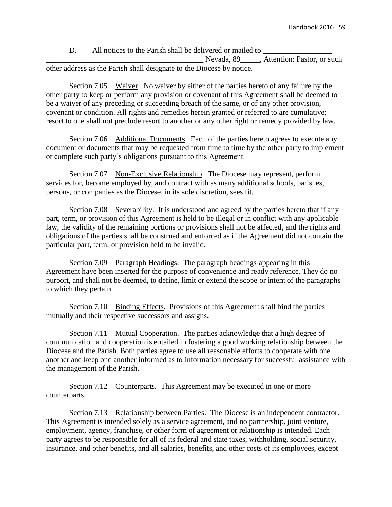D. All notices to the Parish shall be delivered or mailed to

Nevada, 89<sub>\_\_\_\_\_</sub>, Attention: Pastor, or such other address as the Parish shall designate to the Diocese by notice.

Section 7.05 Waiver. No waiver by either of the parties hereto of any failure by the other party to keep or perform any provision or covenant of this Agreement shall be deemed to be a waiver of any preceding or succeeding breach of the same, or of any other provision, covenant or condition. All rights and remedies herein granted or referred to are cumulative; resort to one shall not preclude resort to another or any other right or remedy provided by law.

Section 7.06 Additional Documents. Each of the parties hereto agrees to execute any document or documents that may be requested from time to time by the other party to implement or complete such party's obligations pursuant to this Agreement.

Section 7.07 Non-Exclusive Relationship. The Diocese may represent, perform services for, become employed by, and contract with as many additional schools, parishes, persons, or companies as the Diocese, in its sole discretion, sees fit.

Section 7.08 Severability. It is understood and agreed by the parties hereto that if any part, term, or provision of this Agreement is held to be illegal or in conflict with any applicable law, the validity of the remaining portions or provisions shall not be affected, and the rights and obligations of the parties shall be construed and enforced as if the Agreement did not contain the particular part, term, or provision held to be invalid.

Section 7.09 Paragraph Headings. The paragraph headings appearing in this Agreement have been inserted for the purpose of convenience and ready reference. They do no purport, and shall not be deemed, to define, limit or extend the scope or intent of the paragraphs to which they pertain.

Section 7.10 Binding Effects. Provisions of this Agreement shall bind the parties mutually and their respective successors and assigns.

Section 7.11 Mutual Cooperation. The parties acknowledge that a high degree of communication and cooperation is entailed in fostering a good working relationship between the Diocese and the Parish. Both parties agree to use all reasonable efforts to cooperate with one another and keep one another informed as to information necessary for successful assistance with the management of the Parish.

Section 7.12 Counterparts. This Agreement may be executed in one or more counterparts.

Section 7.13 Relationship between Parties. The Diocese is an independent contractor. This Agreement is intended solely as a service agreement, and no partnership, joint venture, employment, agency, franchise, or other form of agreement or relationship is intended. Each party agrees to be responsible for all of its federal and state taxes, withholding, social security, insurance, and other benefits, and all salaries, benefits, and other costs of its employees, except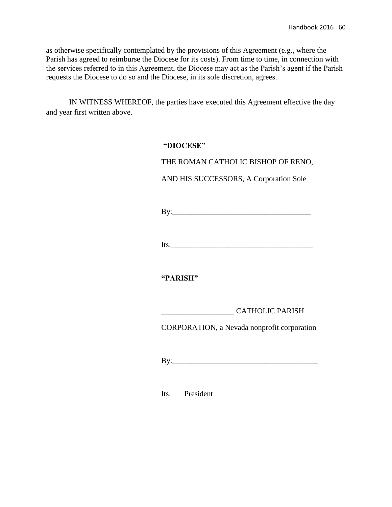as otherwise specifically contemplated by the provisions of this Agreement (e.g., where the Parish has agreed to reimburse the Diocese for its costs). From time to time, in connection with the services referred to in this Agreement, the Diocese may act as the Parish's agent if the Parish requests the Diocese to do so and the Diocese, in its sole discretion, agrees.

IN WITNESS WHEREOF, the parties have executed this Agreement effective the day and year first written above.

## **"DIOCESE"**

THE ROMAN CATHOLIC BISHOP OF RENO,

AND HIS SUCCESSORS, A Corporation Sole

 $\mathbf{By:}$ 

Its:\_\_\_\_\_\_\_\_\_\_\_\_\_\_\_\_\_\_\_\_\_\_\_\_\_\_\_\_\_\_\_\_\_\_\_\_\_

**"PARISH"**

CORPORATION, a Nevada nonprofit corporation

By:\_\_\_\_\_\_\_\_\_\_\_\_\_\_\_\_\_\_\_\_\_\_\_\_\_\_\_\_\_\_\_\_\_\_\_\_\_\_

Its: President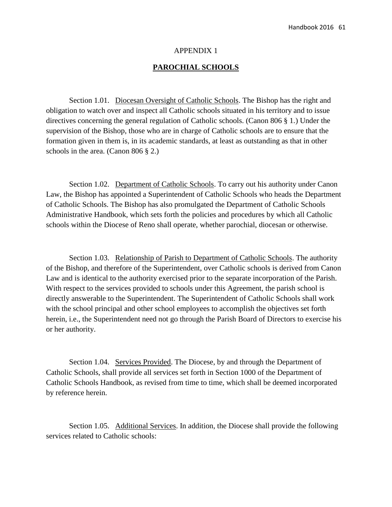### APPENDIX 1

### **PAROCHIAL SCHOOLS**

Section 1.01. Diocesan Oversight of Catholic Schools. The Bishop has the right and obligation to watch over and inspect all Catholic schools situated in his territory and to issue directives concerning the general regulation of Catholic schools. (Canon 806 § 1.) Under the supervision of the Bishop, those who are in charge of Catholic schools are to ensure that the formation given in them is, in its academic standards, at least as outstanding as that in other schools in the area. (Canon 806 § 2.)

Section 1.02. Department of Catholic Schools. To carry out his authority under Canon Law, the Bishop has appointed a Superintendent of Catholic Schools who heads the Department of Catholic Schools. The Bishop has also promulgated the Department of Catholic Schools Administrative Handbook, which sets forth the policies and procedures by which all Catholic schools within the Diocese of Reno shall operate, whether parochial, diocesan or otherwise.

Section 1.03. Relationship of Parish to Department of Catholic Schools. The authority of the Bishop, and therefore of the Superintendent, over Catholic schools is derived from Canon Law and is identical to the authority exercised prior to the separate incorporation of the Parish. With respect to the services provided to schools under this Agreement, the parish school is directly answerable to the Superintendent. The Superintendent of Catholic Schools shall work with the school principal and other school employees to accomplish the objectives set forth herein, i.e., the Superintendent need not go through the Parish Board of Directors to exercise his or her authority.

Section 1.04. Services Provided. The Diocese, by and through the Department of Catholic Schools, shall provide all services set forth in Section 1000 of the Department of Catholic Schools Handbook, as revised from time to time, which shall be deemed incorporated by reference herein.

Section 1.05. Additional Services. In addition, the Diocese shall provide the following services related to Catholic schools: